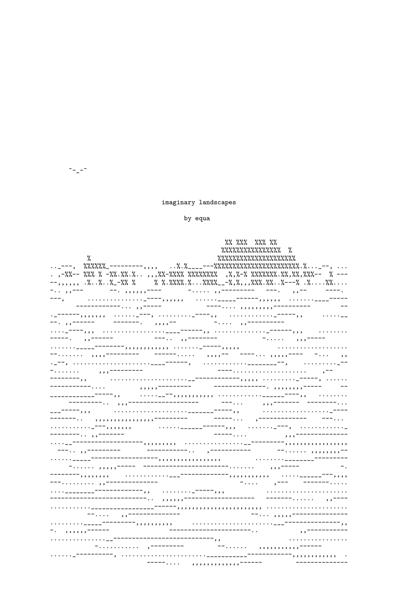imaginary landscapes

by equa

 $\frac{1}{2}$   $\frac{1}{2}$   $\frac{1}{2}$   $\frac{1}{2}$   $\frac{1}{2}$   $\frac{1}{2}$   $\frac{1}{2}$   $\frac{1}{2}$   $\frac{1}{2}$   $\frac{1}{2}$   $\frac{1}{2}$   $\frac{1}{2}$   $\frac{1}{2}$   $\frac{1}{2}$   $\frac{1}{2}$   $\frac{1}{2}$   $\frac{1}{2}$   $\frac{1}{2}$   $\frac{1}{2}$   $\frac{1}{2}$   $\frac{1}{2}$   $\frac{1}{2}$   $\frac{1}{2}$  $\frac{9}{4}$ %%%%%%%%%%%%%%%%%%%% ----- $\sim$ . . . . . . . . . --------,, -----------,... --------. . , ,------- $-$ . -------,,,,,,,,, ...........<sub>---</sub>------------,,,,,,,,,,, ....<sub>------</sub>---,,,, --... ,,,,,--------------``------------------------<sub>--</sub>, -. ,,,,,,------,,,-----------. . . . . . . . . . . . . . . . . ------------- ,--------- <sub>-</sub>--------\_\_<sup>\_\_\_\_\_\_\_\_\_\_\_\_\_</sup>,,,,,,,,,,,,,, -----.... ,,,,,,,,,,,,,,-----

 $\sim -100$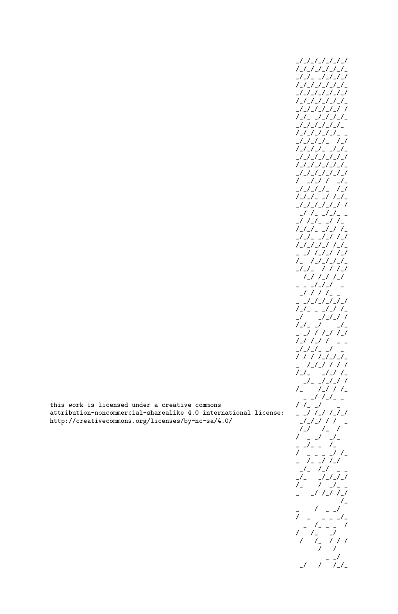

this work is licensed under a creative commons attribution-noncommercial-sharealike 4.0 international license: http://creativecommons.org/licenses/by-nc-sa/4.0/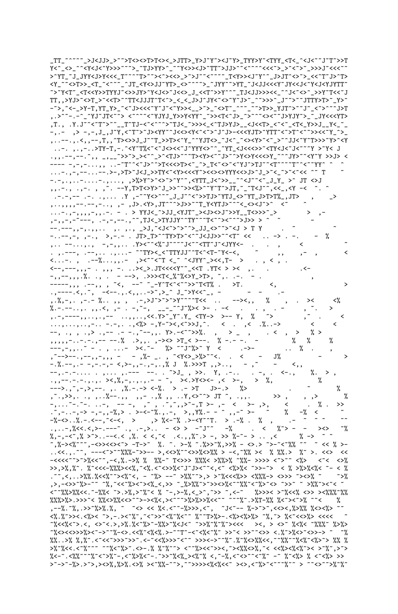\_TT\_~~~~~\_>J<JJ>\_>~~>T<><>T>T<>\_>JTT>\_Y>J~Y~><J~Y>\_TYY>Y~<TYY\_<T<\_^<J<~~J~T~>>T Y<^\_<>\_^^<Y<J<^Y>>>~~~>\_~TJ>YY>^\_~~Y<>><J>~TT~>JJ>^~<^~^^<<<<>\_>^<~>>\_>>J~<<<~` >^YT\_~J\_JYY<J>Y<<<\_T~~^~T>~~><<>\_><>>>>>J~~<~~~~\_T<Y>><J~Y^~\_J>JT^<>~>\_<<~T~J>>7> <Y\_~~<>T>>\_<T\_~<~~~\_^JT\_<Y<>JJ~YT>\_<>~~~~>\_~JYY~~>YT\_~J<JJ<<<Y~JY<<J<<Y<JYYTT~ ~>~Y<T~\_<T<<Y>>TYYJ~<>>JY>^Y<J<>~J<<<>\_J\_<<T~>>Y^^~\_TJ<JJ>>><<\_~^J<~<>>Y~T<<~J TT,,>YJ>~<>T\_>~<<T>~~TT<JJJT~T<<>\_<\_\_<\_J>J^JY<<<>~Y"J>~\_^^>>>^\_J"^>~~JTTY>F}^"\_Y>^<br>-~>,~<-\_>Y-T,YT\_Y>\_~<\*J><<Y^Y^J~<\*Y^>><\_\_>^>\_~<>>^\_^">T\^~\_YTTY>7}}~\_Y>~<br>-~>,~<-\_>Y-T,YT\_Y>\_~<~J><<<<^Y^J~<<\*Y^J~<\*Y>><\_\_>^>\_~<>7^\_^~^\_^">7 -,.- ,> -,-,J\_,J~Y,<~T~>~J><YY~^J<<><Y<<<<>><<<<YJT>~<<<YJT>~YTT~<~>><<<~Y\_^>><<<</ ...-.,-,-,--...--,>-,>T>~J<J\_>>TY<~<Y><<<Y~><<>><><>>>>>>J>^J\_>~<\_~>~<<<<<<<< ^~ T  $\begin{array}{lll} -,-,\,,\,,\,,\,-\,,\,,\,,\,,\,\,,\,,\,\,,\,,\,\,,\,\,,\,\,,\,\,,\,\,\rangle\langle YY^>Y^> <\!\!>^<\!\!>^<\!\!Y^-\,,\,\, \langle YTT\_J<\!\!>^>~\!\!>\_\_\_\!\!Z^<\!\!Z^-\,,\,\, J^T_-\,\,\,,\,\,\, \rangle^T_1\, \langle YJ\!\!Z^<\!\!Y^<\!\!Z^<\!\!Z^<\!\!Z^<\!\!Z^<\!\!Z^<\!\!Z^<\!\!Z^<\!\!Z^<\!\!Z^<\!\!Z^<\!\!$  $\sim$ ,<<\_,<Y -<  $\sim$ .  $\sim$ ,-,,-,----, .-,-,--.,^~,TJ<\_>TYJJY^^TY~~~T<~^><~^>>>>>> %  $\,<\,$ . ,.---, .--,.. .,...- <mark>~~TY><\_<~TTYJJ~^T<^<T-~Y<-<</mark>,  $\tilde{\phantom{a}}$  $\overline{\epsilon}$  $\sim$  $\mathbf{z}$  $\overline{\phantom{a}}$ ., ----.<, .  $\overline{\phantom{a}}$ ,  $-\langle -\cdot, \cdot, \cdot, \cdot, \cdot, -\rangle^*, \rangle$  J\_">Y<<^\_, - $\rightarrow$   $\times$ ,, %  $>\,<$ <%  $\left\langle \cdot\right\rangle _{z_{>}}$ ...,...,..,-.. -.-,. .,<%> -,Y-~><,<~>>J,^. < . ,< . .%...->  $\langle$  $\overline{\phantom{a}}$  $\cdot$  <  $\,>\,$  $\%$  >  $\,$  ,  $\%$  $\%$ % %  $J\%$  $\rightarrow$  $\langle , , ,$ %.  $\,>\,$  , %  $\%$  $\rightarrow$  ,  $, ,$  $\,<$  $\cdot$  %.  $\rightarrow$  $-\%$  < %  $\sim$   $\sim$  $~\sim$ %  $\frac{9}{100}$ ,  $-\frac{5}{100}$ ,  $-\frac{7}{100}$ ,  $-\frac{7}{100}$ ,  $-\frac{7}{100}$ ,  $-\frac{7}{100}$ ,  $-\frac{7}{100}$ ,  $-\frac{7}{100}$ ,  $-\frac{7}{100}$ ,  $-\frac{7}{100}$ ,  $-\frac{7}{100}$ ,  $-\frac{7}{100}$ ,  $-\frac{7}{100}$ ,  $-\frac{7}{100}$ ,  $-\frac{7}{100}$ ,  $-\frac{7}{100}$ ,  $-\frac{7}{100}$ , . - - , <,..>%%. %<<%~~><</. - ~%> --~ >%%~~>,> >~%<<<%>><%%%~> <>> <>>~>>>>>><<% ,-<>>~%>-~~\_~%,~<<~%><~><%\_<,>>\_~\_%>%%~>~><>%<~~%%~<~%>~<>\_~\_>>%%~><~\_~\_ --%.~%,.>>~%>%.%, ~ ~<> << %<.<~~-%>>,<~, ~J<~-- %->~>~,<<<<,%>%% %<><%>~~  $<\!\!\:\!\langle\;\! \rangle,\;\! \rangle\!\!>><\!\!\!<\!\!\:\! \langle\;\! \rangle\!\!>><\!\!\!\cdot\;\! \rangle,\;\!-\!\!\!-\!\!\!><\!\!\!\cdot\;\! \rangle,\;\!-\!\!\!><\!\!\!\cdot\;\! \rangle\!\!>^<\!\!<\!\!\!\cdot\;\! \rangle,\;\!-\!\!\!><\!\!\!\cdot\;\! \rangle,\;\!-\!\!\!>^<\!\!\!-\!\!\!>^<\!\!\! \gamma\!-\!\!>\!\!>^<\!\!\!-\!\!\!>^<\!\!\!-\!\!\!-\!\!\!>^<\!\!\!-\!\!\!>^<\!\!\!-\!\!\!-\!\!\!$ >~->~-%>.>~>,><>%,%>%.<>% ><~%%-~~>,~~>>>><%<%<<~ ><>> ><~;<~"%~~ > ~~<>~~>%~%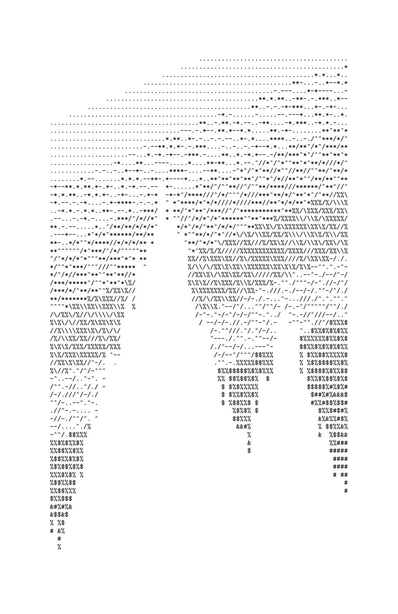$\star \star$   $\star$ .................=\*....\*\*...----......\*....\*\*-\*\*...\*.--.^//\*^/^\*^^\*\*^\*\*/\*///\*/^ -\*--\*\*.\*.\*\*.\*-.\*-..\*.-\*.--- \*-......\*^\*\*/^/^^\*\*//^/^^\*\*/\*\*\*\*///\*\*\*\*\*\*//^\*\*//^ ~ \*^\*\*\*\*/\*^\*/\*////\*////\*\*\*//\*\*<sup>~</sup>\*/\*/\*\*<sup>~</sup>\*%%%/%/\\\% \* \*\*/^\*^\*\*^/\*\*\*//^/^\*\*\*\*\*\*\*\*\*\*\*^\*\*??//\%%%/%%%/%%\ .. -\*. \*. -. \*. \*. . \*\*-. --. \*. . -\*\*\*/ \* ^^//^/\*/\*^/\*^\*\*\*\*\*\*^^\*\*^\*\*\*\*\*//'%%%\\\\\\%/\%%%%/  $---...--...$ \*\*.-.--.....\*..<sup>^</sup>/\*\*/\*\*/\*/\*/\*<sup>^</sup> `\*<sup>^</sup>\*\*/\*/^\*^//\*\/\%/\\%%/%%/%\\\/\\%\%/%\\/%% .---\*--...\*^\*/\*^\*\*\*\*\*\*/\*\*/\*\* \*\*-..\*/\*<sup>--</sup>\*/\*\*\*\*//\*/\*/\*/\*\* \* ~\*\*/~\*/\*^\/%%%//%%///%/%%\%//\\%/\\%\/%%\/\% \*\*^^^^^^/\*^\*\*\*/^/\*/^^^^^\*\* <sup>^</sup>/^\*/\*/\*^\*^^^\*\*/\*\*\*<sup>^</sup>\*^\* \*\*  $*$ /^^\*^\*\*\*/^^^///^^\*\*\*\*\*\* %/\\/\/%%\%\%%\\%%%%%%\%\%\%/%\%~~^^.^.~^ \*/^/\*//\*\*\*^\*\*^^\*\*^\*\*//\* /\*\*\*/\*\*\*\*\*^/^^\*^\*\*\*^\*\%/  $1***/*/***/**^*\\$ \*\*/\*\*\*\*\*\*\*\*//////////////// //%/\/%%\\%%//-/-./.-...^-...///./^.^.^^.^ ^^^^\*\%%\\%%\\%%X\\% % /\/%%\/%//\/\\\\/\%%  $-$ -----.//-/\$%%%\$ %\%\/\//%%/%\%%\%\% /-.^^///.^/.^/-/..<br>^---./.^^.-.^^--/- $\hat{ }$ ..\$%%\$%\$%\$%% //%\\\\%%%\%\/%\/\/ \$%%%%%\$%%\$%\$ /%/\\%%/%%///%\/%%/  $1.1 - -1 - 1.$ ...---^- $%$  \%\%/%%%/%%%%%/%%% \$\$%%\$%\$%\$%\$%%  $1 - 1 - -7 - 7$  / \$\$%%%  $\frac{1}{2}$   $\frac{1}{2}$   $\frac{1}{2}$   $\frac{1}{2}$   $\frac{1}{2}$   $\frac{1}{2}$   $\frac{1}{2}$   $\frac{1}{2}$   $\frac{1}{2}$   $\frac{1}{2}$   $\frac{1}{2}$   $\frac{1}{2}$   $\frac{1}{2}$   $\frac{1}{2}$   $\frac{1}{2}$   $\frac{1}{2}$   $\frac{1}{2}$   $\frac{1}{2}$   $\frac{1}{2}$   $\frac{1}{2}$   $\frac{1}{2}$   $\frac{1}{2}$   $\%$  \$%%\$\$%%%%\$  $. \cap \cap ... \cup \{ \frac{1}{2} \}$ %%%%%%%%%%  $\sqrt{\frac{1}{2}}$ \$%%\$\$\$\$\$%\$%\$%%%  $%$  %\$\$\$\$%\$%%\$\$  $-\infty$ ...--/...^-^. - $22.$  \$\$%\$\$%\$%\$ \$%%\$%\$\$%\$%\$  $1 - 11 - 11 = 1 - 11 = 1$  $$3232222$ \$\$\$\$\$%#%\$%#  $1 - 1.111 - 1.1$  $$32233233$ \$##%#%&&&\$  $\hat{z}$  /-..--^.^-.  $$ %8%3$$ #%%#\$\$%\$\$#  $1/2 - 1 - 1$ %\$%\$%\$ \$%%\$#\$#%  $-1/(-1)^{n}$ /^. \$\$%%% &%&%%#\$%  $-7$ ....^./%  $8.8 \pm 2.$  $%$ \$\$%%&%  $-22/38$  $\%$ & %\$\$&& %%\$%\$%%\$% &  $22# ##$ ##### %%\$\$%%\$%% \$  $%$ \$\$%%\$%\$% ####  $23232323$ ####  $\frac{22225252}{8}$ # ## %\$\$%%\$\$  $#$  $\frac{22255}{200}$  $#$ \$%%\$\$\$  $&#</math> <math display="inline">#</math> <math display="inline">%</math>$ &\$\$&\$  $%$  %\$ #  $&\n%$  $#$ 

%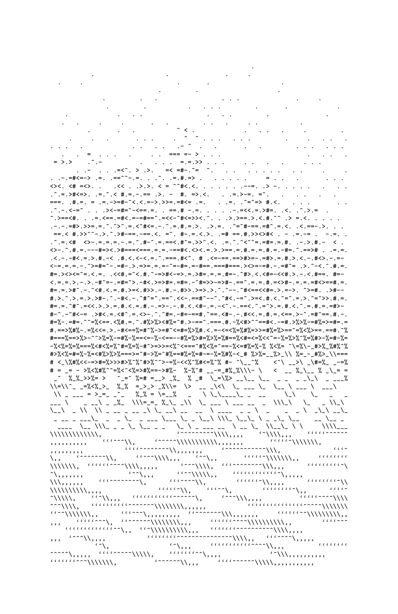$= - - -$  $z = 5$ ,  $z = 3$ .  $=~~±~~ - ~~^~~=$  $- = 4 < ->$ - 2011年10月  $\cap$   $\cap$   $-$  ,  $=$  ,  $\quad$  ,  $\quad$  ,  $\cap$  ,  $\quad$  ,  $=$  ,  $\#$  ,  $=$   $>$   $\quad$  .  $\langle\langle\langle\,\cdot\,,\,\cdot\,,\,\cdot\,\rangle\,\rangle_{\mathcal{F}}\rangle_{\mathcal{F}}\langle\,\cdot\,=\, \cap^* \sharp \langle\,\cdot\,,\,\cdot\,\rangle_{\mathcal{F}}\ ,$ <><. <# =<>. . **Contract Contract**  $2.2 + 3 = 2.3 + 4 = 2$  .  $3.5 + 2.5 = 2.3$  .  $4.5 + 2.5 = 2.3$  .  $5.5 + 2.5 = 2.3$  .  $6.5 + 2.5 = 2.3$  .  $7.5 + 2.5 = 2.3$  .  $8.5 + 2.5 = 2.3$  .  $1.5 + 2.5 = 2.3$  .  $1.5 + 2.5 = 2.3$  .  $1.5 + 2.5 = 2.3$  .  $1.5 + 2.5 = 2.3$  .  $1.5 + 2.5 = 2.3$  .  $\langle \cdot \rangle \quad , \, = \, , \, > \, = \, , \, \, = \, ^{\small \frown} \, , \,$ === , .#.= , = ,= ,->=#-^< ,<.=-> ,>>= ,=#<= .= ,  $\therefore$   $=$   $\therefore$   $\hat{i} = \hat{i} = \hat{i} = \hat{j} + \hat{k}$ . . ^.-.<-=^\_. . . ><-=#=^-<==.=. . ==.# -.=. . . . . -.=<<.=.>#=. .<. . .  $\hat{ }$ .  $>$ . = . -.-.=#>.>>=.=.^.^>^.=.<^#<=.-.^.=.#.=.>. ..>.=. .^=^#-==.=#^.=.<. .<.==-.>. .. . ==;< #;>>^^-;>;^;>#-==;-==;<; =^; #-;=;<;>; ;=# ==;#;>><>#< ; - ;=;-= ; -;=; ; . ^.=.<# <>-.=.=.=.-.=.^.#-^.=.=<.#^=.>>^.<.\_.=.^.^<^^=.=#=.=.#.\_.-.>.#.- < . <>-.^.#.=.---#=><.>#===<===.=.-==#<.<><.=.>.>==.=.#.=.=.#.=.-#=.^.==># . .=.=. -<.-.-#<.=.>.#.-< .#.<<.<.=.^.===.#<^. # .<=-==.==>#>=-.=#>.=.#.>.<.-.#<>.-.=-<-=,=,=,-,^>=#=^-,=#-.>,=>=,=,=-^=-#=,=-#==,==#===,><>==#,-,=#^=\_,>,^-<,^,#,=, <.=.=.>.-.>.-#^=-.=#=^>.-#<.>=>#=.=#=.-^#=>>-=>#-.==^.=.#.=<>#-.=.=.#<>==#<>= #.>.^.>.=.>.>#-.^.-#<.-.^#^=^.==^.<<-.==#^--^.^#<.-=^.>=<.#.<.^=^.=.>.^=^>>.#.=. <sub>#=</sub>%- .=#= .^^=%<== .<%# .=.^.#%>%><#%=^# .>−==^ .=== .# .‐%<#>^^==#< .−=# .>%>%-=#%=>=#= .=  $\#\ .==>\% \# \textrm{''-} -\textrm{``} \# \textrm{''-} -\textrm{``} \# \textrm{``} <\!=\! -\textrm{``} <\!=\! +\textrm{``} \# \textrm{``} <\!=\! +\textrm{``} \# \textrm{``} <\!=\! +\textrm{``} <\!=\! +\textrm{``} \# \textrm{``} <\! -\!=\!<\!=\!<\!\textrm{``} \# \textrm{``} <\!=\! -\!\textrm{``} <\!\textrm{``} \# \textrm{``} <\!=\!=\!=\! -\!\textrm{$ #===%==>%>-^^>%=%-=#%-%==<=-%-<==-#%=%>#=%>%=%#==%<#=<=%<<^=-%=%>%-%"%=%#>-%=#-%= #>%<%=#=%-%=<#%>%>%===>=^#->%=^#%==#%=%=#-=-%=%#%-<\_#`%>%=\_\_%>\_\\`%=\_-\_#%>\_\\===  $\# = \_ = \ - \ > \frac{9}{6} < \frac{9}{6} < \frac{9}{6} < \frac{1}{6} < \frac{1}{6} < \frac{1}{6} < \frac{1}{6} < \frac{1}{6} < \frac{1}{6} < \frac{1}{6} < \frac{1}{6} < \frac{1}{6} < \frac{1}{6} < \frac{1}{6} < \frac{1}{6} < \frac{1}{6} < \frac{1}{6} < \frac{1}{6} < \frac{1}{6} < \frac{1}{6} < \frac{1}{6} < \frac{1}{6} < \frac{1}{6} < \frac{1}{6} < \frac{1}{6} < \frac{1}{6} < \frac$  $\langle$  \_  $\%$  \\_  $\%$  \\_ = =  $\begin{array}{ccccccccc} \multicolumn{3}{c|}{\begin{array}{c} \multicolumn{3}{c}{\begin{array}{c} \multicolumn{3}{c}{\begin{array}{c} \multicolumn{3}{c}{\begin{array}{c} \multicolumn{3}{c}{\begin{array}{c} \multicolumn{3}{c}{\text{\hspace{-6pt}}}\end{array}}}}\\ \multicolumn{3}{c}{\begin{array}{c} \multicolumn{3}{c}{\begin{array}{c} \multicolumn{3}{c}{\text{\hspace{-6pt}}}\end{array}}}}& \multicolumn{3}{c}{\begin{array}{c} \multicolumn{3}{c}{\text{\hspace{-6pt}}}\end{array}}}}& \multicolumn{3}{$  $-111 - 1$  $\sqrt{1 - 1}$  $\sum_{i=1}^{n} \frac{1}{i} \sum_{i=1}^{n} \frac{1}{i} \sum_{i=1}^{n} \frac{1}{i} \sum_{i=1}^{n} \frac{1}{i} \sum_{i=1}^{n} \frac{1}{i} \sum_{i=1}^{n} \frac{1}{i} \sum_{i=1}^{n} \frac{1}{i} \sum_{i=1}^{n} \frac{1}{i} \sum_{i=1}^{n} \frac{1}{i} \sum_{i=1}^{n} \frac{1}{i} \sum_{i=1}^{n} \frac{1}{i} \sum_{i=1}^{n} \frac{1}{i} \sum_{i=1}^{n} \frac{1}{i$  $\frac{1}{6}$  / =  $\frac{1}{6}$  / =  $\frac{1}{6}$  $\setminus \setminus$  $\Lambda$ \_ \_\_\ \_ \_%\_ \\\=\_=\_ %\_\\_ \_\\ \\_ \_\_\_ \ \_\_\_ \_\_  $\sim$   $\sim$  $\frac{1}{2}$  $11 - 1$  $\setminus$  $\sum_{i=1}^{n}$  $\lambda$  $\lambda$ - $\lambda$  $- \chi_{\perp\perp}$   $\chi\chi\chi_{\perp}$  $\chi_{\perp}$  $\sum_{i=1}^{n}$  $\begin{array}{ccc} \backslash & \text{ } & \backslash \end{array}$  $\frac{1}{2}$  $1111$  $\langle \cdot \rangle$  $\cdots$ aaan\\\\\\\\\  $\sim$   $\sim$   $\sim$   $\sim$   $\sim$   $\sim$ , , , , , , , , , ,  $\sum_{i=1}^{n}$  $\sum_{i=1}^{n}$  $\cdots \backslash$  , ,  $(1 - 2)$ aaaa\\\\\\\\\,, \,,  $\cdots$   $\cdots$   $\cdots$  $\left\langle \frac{1}{2} \right\rangle$  $\cdots \cdots$ \\\\\\\\,  $\left(\left(\frac{1}{2}\right)\right)$  $\sum_{i=1}^{n}$ ^\,,,,,,,  $\frac{1}{2}$  $\left(\left(\left(\cos\left(\frac{1}{2}\right)\right)\right)\right)$  $\gamma_{\rm i}$ ١, \\\,,,,,,  $\cdots$  $\left\langle \left( \left( \left( \left( \left( \left( \left( \infty \right) \right) \right) \right) \right) \right\rangle \right. ,\right.$ \\\\\\\\\\\\\, accordination,  $\sum_{i=1}^{N}$  $\frac{1}{2}$ ...<br>'``\\,,, ^\\\\\\,  $\sim$  \\\\\,  $(222)$ million .  $\frac{1}{2}$  (  $\frac{1}{2}$   $\frac{1}{2}$   $\frac{1}{2}$   $\frac{1}{2}$   $\frac{1}{2}$   $\frac{1}{2}$   $\frac{1}{2}$   $\frac{1}{2}$   $\frac{1}{2}$   $\frac{1}{2}$   $\frac{1}{2}$   $\frac{1}{2}$   $\frac{1}{2}$   $\frac{1}{2}$   $\frac{1}{2}$   $\frac{1}{2}$   $\frac{1}{2}$   $\frac{1}{2}$   $\frac{1}{2}$   $\frac{1}{2}$   $\frac{1}{2}$ addison(\\\\\\\\\\\,,  $\left\langle \ldots \right\rangle$  $\left\langle \cdots \right\rangle$ .........\\\\\,,  $\sum_{i=1}^{n} \sum_{j=1}^{n} \sum_{j=1}^{n} \sum_{j=1}^{n} \sum_{j=1}^{n} \sum_{j=1}^{n} \sum_{j=1}^{n} \sum_{j=1}^{n} \sum_{j=1}^{n} \sum_{j=1}^{n} \sum_{j=1}^{n} \sum_{j=1}^{n} \sum_{j=1}^{n} \sum_{j=1}^{n} \sum_{j=1}^{n} \sum_{j=1}^{n} \sum_{j=1}^{n} \sum_{j=1}^{n} \sum_{j=1}^{n} \sum_{j=1}^{n} \sum_{j=1}^{n} \sum_{j=1}^{n}$  $\left\langle \cdot \right\rangle$  $\sum_{\left(\ell,\ell\right)\in\mathbb{Z}}\sum_{\left(\ell,\ell\right)\in\mathbb{Z}}\left(\sum_{\ell,\ell\in\mathbb{Z}}\left\vert \ell,\ell\right\vert \right)$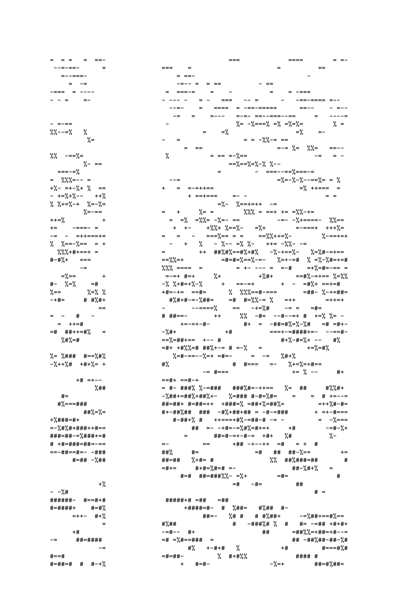--=-<mark>==</mark>-=--===- $\epsilon = 1$ === = ----2 2 2 2 2 2 2  $=$   $=$   $\gamma$ =  $\%$ %  $--\%$  $\frac{1}{6} - \frac{1}{6} =$  $==-\frac{9}{6}$  $=$  %%%=-- =  $+ \frac{9}{6} - = + - \frac{9}{6} + \frac{9}{6} =$  $- + =\frac{9}{6} + \frac{9}{6} - - + +\frac{9}{6}$  $\frac{1}{6}$  %+=%-+ %=-%=  $\begin{array}{ccc}\n\sqrt{2} & \sqrt{2} + i\sqrt{2} + i\sqrt{2} \\
\sqrt{2} & \sqrt{2} - i\sqrt{2} \\
+ i\sqrt{2} & + i\sqrt{2} \\
+ i\sqrt{2} & -i\sqrt{2} - i\sqrt{2} \\
- i\sqrt{2} & -i\sqrt{2} + i\sqrt{2} \\
- i\sqrt{2} & -i\sqrt{2} + i\sqrt{2} \\
- i\sqrt{2} & -i\sqrt{2} + i\sqrt{2} \\
- i\sqrt{2} & -i\sqrt{2} + i\sqrt{2} \\
- i\sqrt{2} & -i\sqrt{2} + i\sqrt{2} \\
- i\sqrt{2} & -i\sqrt{$  $\frac{9}{2}$   $\frac{9}{2}=-\frac{9}{2}=-12$  = +  $\frac{2}{3}$   $\frac{2}{3}$  +#+==+ =  $\# - \#$ %+ ===  $=\% == -$ <br>  $\# - \frac{\% == \%}{\% == -}$ <br>  $\% == -$ <br>  $\frac{\% == \%}{\% + \# +}$ <br>  $\frac{\# - \frac{\%}{\%}}{\% + \# +}$ <br>  $\frac{\# - \frac{\%}{\%}}{\% + \# +}$  $\mathbb{R}^2$  $=$   $\#$   $= + + = #$  $=$  # # # + +  $=$  #  $=$  $\frac{2}{2}$  #  $\frac{2}{2}$  = #  $\% = \frac{6}{4} \# \# \# \qquad \# = = \frac{6}{4} \# \%$  $-\frac{9}{6}$ ++ $\frac{9}{6}$ # +#+ $\frac{9}{6}$ = +  $+4$  =+-- $%##$  $# =$  $\frac{1}{2}$   $\frac{2}{2}$  = = =  $\frac{1}{2}$  # # ##%=%=  $+$ %###=#+  $=-\frac{9}{6}\frac{1}{6}\frac{2}{6}\frac{1}{6}\frac{1}{6}\frac{1}{6}\frac{1}{6}\frac{1}{6}\frac{1}{6}\frac{1}{6}\frac{1}{6}\frac{1}{6}\frac{1}{6}\frac{1}{6}\frac{1}{6}\frac{1}{6}\frac{1}{6}\frac{1}{6}\frac{1}{6}\frac{1}{6}\frac{1}{6}\frac{1}{6}\frac{1}{6}\frac{1}{6}\frac{1}{6}\frac{1}{6}\frac{1}{6}\frac{1}{6}\frac{1}{6}\frac{1}{6}\frac{1}{6}\frac{1}{6}\frac{1}{6}\frac{1}{6}\frac{1}{6}\frac{1}{6}\frac{$  $\#$ ##=##-=%###+=# # +#=###=##=-==  $=-## == # == - # # #$  $\#=\#$ #  $-\%$ ##  $+$ %  $- -\frac{9}{4}$ ######+ #==#+#<br>#=####+ #=#%  $= + + -$  #+%  $\begin{array}{c} 0 \\ -1 \end{array}$ -= ##=#### 

 $=$   $=$  $\mathcal{L}(\mathcal{L}(\mathcal{L}))=\mathcal{L}(\mathcal{L})$  $\qquad \qquad \equiv \qquad \qquad \equiv$  $=$   $=$   $=$  $-=--$  =  $=$  $- - - \% = -\% = = =\% = \frac{1}{6} = \frac{1}{6} = \frac{1}{6} = \frac{1}{6} = \frac{1}{6} = \frac{1}{6} = \frac{1}{6} = \frac{1}{6} = \frac{1}{6} = \frac{1}{6} = \frac{1}{6} = \frac{1}{6} = \frac{1}{6} = \frac{1}{6} = \frac{1}{6} = \frac{1}{6} = \frac{1}{6} = \frac{1}{6} = \frac{1}{6} = \frac{1}{6} = \frac{1}{6} = \frac{1}{6} = \frac{1}{6} = \frac{1}{6} = \frac{1}{6} = \frac{1}{6} =$  $\frac{9}{6}$  =  $=\%$   $=\frac{1}{2}$   $=\frac{1}{2}$   $=\frac{1}{2}$   $=\frac{1}{2}$   $=\frac{1}{2}$   $=\frac{1}{2}$   $=\frac{1}{2}$   $=\frac{1}{2}$   $=\frac{1}{2}$   $=\frac{1}{2}$   $=\frac{1}{2}$   $=\frac{1}{2}$  $\cdots$   $\cdots$   $\cdots$   $\cdots$   $\cdots$   $\cdots$   $\cdots$   $\cdots$   $\cdots$   $\cdots$   $\cdots$   $\cdots$   $\cdots$   $\cdots$   $\cdots$   $\cdots$   $\cdots$   $\cdots$   $\cdots$   $\cdots$   $\cdots$   $\cdots$   $\cdots$   $\cdots$   $\cdots$   $\cdots$   $\cdots$   $\cdots$   $\cdots$   $\cdots$   $\cdots$   $\cdots$   $\cdots$   $\cdots$   $\cdots$   $\cdots$   $\cdots$  $\%$  $=-\% = -\% = -\% - \%$   $\%$ - ===--==%===-=  $=\% = -\frac{1}{2} - \frac{1}{2} - \frac{1}{2} - \frac{1}{2} = -\frac{1}{2}$ ----<br>+ = =-=++==<br>+ ==+=== =- - $=\frac{9}{6}$  ++=== =  $= =\% \% =$   $\frac{+}{-}$   $\begin{array}{cccccccc} & = & \lambda & - & \lambda & - & - \\ & & - & \lambda & - & - \\ & & + & \lambda & - & - \\ & & - & - & - \\ & & - & - & - \\ & & + & - & - \\ & & - & - & - \\ & & - & - & - \\ & & - & - & - \\ & & - & - & - \\ & & - & - \\ & & - & - \\ & & - & - \\ & & - & - \\ & & - & - \\ & & - & - \\ & & - & - \\ & & - & - \\ & & - & - \\ & & - & - \\ & & - & - \\ & & - & - \\ & & - & - \\ & & - & - \\ & & - & - \\ & & - & - \\ & & - & - \\ & & - & - \\ & & - & - \\ & & - & -$ -  $\frac{1}{2}$ ,  $\frac{1}{2}$ ,  $\frac{1}{2}$ ,  $\frac{1}{2}$ ,  $\frac{1}{2}$ ,  $\frac{1}{2}$ ,  $\frac{1}{2}$ ,  $\frac{1}{2}$ ,  $\frac{1}{2}$ ,  $\frac{1}{2}$ ,  $\frac{1}{2}$ ,  $\frac{1}{2}$ ,  $\frac{1}{2}$ ,  $\frac{1}{2}$ ,  $\frac{1}{2}$ ,  $\frac{1}{2}$ ,  $\frac{1}{2}$ ,  $\frac{1}{2}$ ,  $\frac{1}{2}$ ,  $\frac{1}{2}$ ,  $+ = \frac{9}{6} \leftarrow -$  #+  $--$  #===  $==# + == # - +$ #-##+% # ++===+#%-=##-# -= - $=-\%=-$ ## =- -+#=-=%#%=#+=+ +#  $- = # - \% +$  $# =$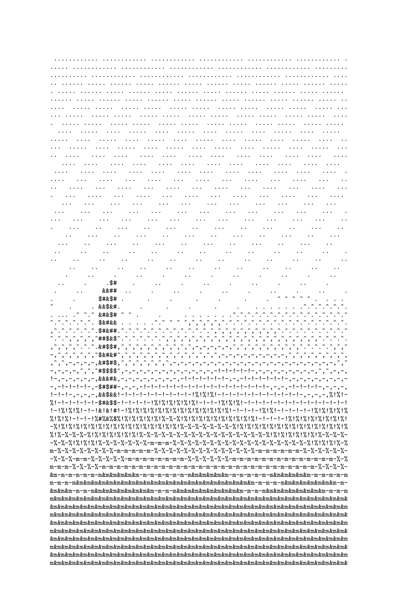| . \$#                                                                                                                                                                                                                                                                                                                                                                                                                                                                                                                                                                                                                                                                                                                                                                                                                                                                                                                                                                                                                                                                                                                                                                                                                                   |
|-----------------------------------------------------------------------------------------------------------------------------------------------------------------------------------------------------------------------------------------------------------------------------------------------------------------------------------------------------------------------------------------------------------------------------------------------------------------------------------------------------------------------------------------------------------------------------------------------------------------------------------------------------------------------------------------------------------------------------------------------------------------------------------------------------------------------------------------------------------------------------------------------------------------------------------------------------------------------------------------------------------------------------------------------------------------------------------------------------------------------------------------------------------------------------------------------------------------------------------------|
| &&##</td></tr><tr><td></td></tr><tr><td></td></tr><tr><td>\$#&\$#</td></tr><tr><td>&&\$&#</td></tr><tr><td>&#&\$#</td></tr><tr><td>\$&#&&</td></tr><tr><td>542.44</td></tr><tr><td><b>4#\$&\$</b></td></tr><tr><td>.&#\$\$#.</td></tr><tr><td>\$&#&#</td></tr><tr><td><math>, -, -, 8# \$# \$</math>.</td></tr><tr><td>, -, -, -, -, -, -, -, -, -, -! -! -! -! -! -! -, -, -, -, -, -, -, -, -, -,<br>, ^#\$\$\$\$^</td></tr><tr><td>, -, -, -, -, -, -! -! -! -! -! -, -, -! -! -! -! -! -! -, -, -, -, -, -,<br>,-,-,&&&#&,-,</td></tr><tr><td></td></tr><tr><td>-.-.-.%!%!-</td></tr><tr><td><math>-1-1-1-1</math></td></tr><tr><td>%!%!%!-!-!&!&!#!-!%!%!%!%!%!%!%!%!%!%!%!%!%!%!-!-!-!<br><math>-!</math>%!%!-!<br><math>!</math> %! %! %! %! %</td></tr><tr><td></td></tr><tr><td></td></tr><tr><td></td></tr><tr><td></td></tr><tr><td></td></tr><tr><td></td></tr><tr><td>-%-%-%-m-m-%-%-%-%-%-m-m-m-m-m-m-m-m-%-%-%-%-%-%-m-m-m-m-m-m-m-m-m-m-m-m-m-m-m-%-%</td></tr><tr><td></td></tr><tr><td></td></tr><tr><td><math>m-m</math></td></tr><tr><td></td></tr><tr><td></td></tr><tr><td></td></tr><tr><td></td></tr><tr><td></td></tr><tr><td></td></tr><tr><td></td></tr><tr><td></td></tr><tr><td></td></tr></tbody></table> |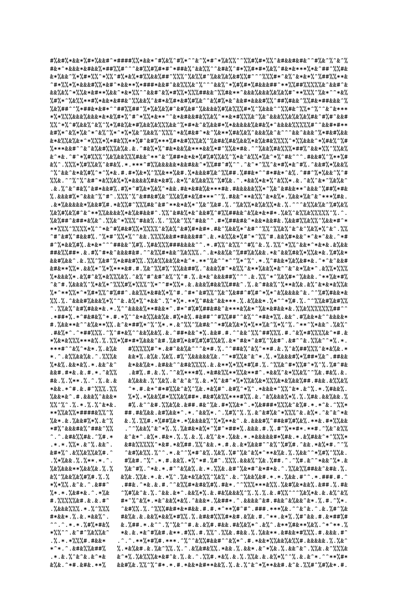#%&#%\*&&\*%#\*%&&#^\*####%%\*&&\*^#%&%^#%\*^^&^%\*#^\*%&%%^^%%#%#\*%%^&#&&#&#&~^#%&^%^&^% #&\*^\*&&&\*&#&&%\*##%%#^^^&#%%#%#\*#^\*##&%^&&%%^^&#&%^#\*%%#\*#\*%&%^#&\*&\*\*\*%\*&^##^%%#& &\*%&&^%\*%#\*%%^\*%%^#%\*&%\*#%%&&%##^%%%^%&%%#^%&&%&%&#%%#^^^%%%#\*^&%^&\*&\*%^%##%%\*\*& ~#\*%%\*%\*&&&#%%\*&#^\*&&\*\*%\*###\*&&#^&&%%%&^%^^^&&%^\*%#%#\*%#&&&##^\*\*%%##%%%%% ^&&#^& &&%&%~\*%%&\*&#\*\*%&&~\*&\*%%~^&&#^&%\*#%%\*%%%##&&^%%#&\*\*^&&&%&&%&%&%#^\*\*\*%%%^%&\*^^\*&%  $%$ #%\*^%&%%\*\*#%\*&&\*&##&^%%&&%^&#\*&%#\*&#%#%&^^&%#%\*&^&&#\*&&&#%%^##%#&&^%%#&\*##&&&^% %&%##^^%\*##&\*&#\*^^##%%##^%\*%&%&%#^&#%&#^%&&&&%#%&%%%#\*%^%&&&^^%%#&^%%\*^%^^&^&\*\*\* \*%\*%%%&&&%&&\*&\*&%#\*%^#^\*%%\*&\*\*^^&\*&#&&#&%%&%^\*\*&\*#%%%@^%&^&&&%%&%&%#&^#%#^&&#  $\%$ %~\*%~#%&&%~&%~%\*%#&%&\*#%&&%&%%%&&~%\*#\*&~&%&&#\*%\*&&&&&%&#&%\*~&&&&%%%%#^^&&#\*#\*\* &#%\*^&%\*%&^\*^&%^%\*^\*%\*%&^%&&%^%%%^\*&%#&#^\*&^%&\*\*%#&%&%^&&&%&^&^^^&&^&&&^%\*#&#%&& &\*&%%&%&\*^\*%%%\*%\*#&%%\*\*%#^&#%\*\*\*%#\*&#%%%&%^%&#&%#&%&&%\*&%&#&%%%%^\*%%&&&^\*%#&%^%#  $%***$ &&#^^&^&%&#%%}&}&.&.^#&%\*%^#&\*&&%&\*\*\*&&%##^%%&\*#&.^^%&&%#&%%%\*##%^&&\*%%^%%&% &^\*&.^#^\*%#%%%^%&%&&%%#&&^\*\*^&^%##\*&\*&\*%#%#%%&%^%\*&^&%%\*%&^\*%^#&^^^.#&&#%^%\*\*%# &%^.%%%\*%#%%&%^&#&%.\*.\*\*\*^#%%&&&&&\*&&#&&^\*%%##^#%^^.^&^\*^%%^&\*#%\*&^#%.^&&#%\*%&&% ~%^&&^&\*&%#%^\*^%\*&.#.#\*%&\*%^%%&\*\*%&#.%\*&&&#%&^%%##.%##&\*^^#\*#&\*^&%.^##^%\*%&&^%^#  $\%$ %&.^^%^%^&#^\*&%%&%\*%\*&&&&%#&\*&#%.&\*%^&%&&%%^%#%&.^.\*&&%\*&\*%^&%%\*.&.^&%^&\*^%&%&^ . &.%~&~#&%~&#\*&&#%.#%\*^#%&\*%&%~\*&&.#&\*&#&%&\*\*\*#&.#&&&&&%%\*~%&~&#&&\*\*^&&&~%##%\*#& %.&&&#%\*^&&&^%^#^.%%%^%^&##&#%&^%%&%#\*&%#\*\*\*^^%.#&&^\*\*&%%^&\*&%\*.%&&\*%&^&^\*\*\*%#&. .&\*%&&&&&\*%&&#%#.\*&%%#^%%%#&^&#^\*\*&\*&%\*^%&^%&#.%.^%&%%\*&%%\*&.%.^^^&%%&%%#^%#%&% %&%#%&%#^&^\*\*%%&&&&%\*&%&#&&#^.%%^&#&%\*&^&&#%^#%%##&&^&%&\*&\*#\*.%&%^&%%&%%%%%%^%. %&%##^&##\*&%&^.%%&^\*%%%^#&&%.%.^%%&^%%^#&&^^.#\*%##&#&^\*&&\*&&#&.%&&#%%&%%^%&&\*#^\* \*\*%%%~%%%%\*%~^\*&~#%#&#%%\*%%%%~&%&%~&#%#\*&#\*.#&~%&&%\*~&#^~%%~%%&%~&~%%%\*%~&~.%% ~#~&#%~#&&#%.~%\*#~%%\*%~~&&.%%%%&&#\*#&&&##~.&.\*&%%&\*%#~\*~%%~#.&&%#\*&&~\*~&\*~&&. #^%\*&&%#%.&\*&\*^^^##&&^%#%.%#&%%%###&&&&^^.\*.#%%^&%%^^#%^&.%.%%^\*%%^&&\*^\*&\*&.&%&& ##&%%##\*.&.#%^#\*&^&&&#&#.^^&%%#\*&&^%&%%%.^.&\*&&%&^%##%&%&&.\*&^&&%#&%\*%%&\*&.%#%&\* &&#%&&^.&.%%^%&#^%\*&#&#%%.%%&%%&&%&\*&^\*.\*\*^%&^^\*^^%\*^%^.\*.%^#&&\*%&%&#\*&.^\*^&^&&# %\*&&&%\*.&%#^&%\*&%%%&%.^&%^#^&#^&%^%^#.%.&\*&^&&&##%^^^.&.%%^\*^%&%#\*^%&&&.^\*\*%&\*#% ~&^#.%&&&%^%\*&%\*^%%%#%\*%%%^%\*^^#\*%%\*.&.&&&%#&&%%##&^.%.&^#&&%^%\*\*&%&.&%^&\*&\*&%%& %\*^\*\*%%\*^\*%#\*%%^#%##^.&&%%\*&#&%\*%^#.^#\*^&#%%^%&^%&##^#%#^\*%\*^&%&&&&^&.^^%#%#&&\*&  $\%$ %. %. ^&&&#%&&&%\*%^^&.&%\*%^\*&&^.%^\*%\*.\*\*%^#&&^&&\*\*\*.%.&%&&\*.%\*^^\*%#.%.^^%%&#%&#%% `.%%&%^&#%#&&\*&.\*.%^^&&&&%\*\*#&&\*^.#\*^#%#%##&#&^&\*\*\*&%&\*^%&\*&#&&\*&.%%&%%%%%%##^` . \*##\*%. \*^#&#&%^\*. #. \*%^^&\*&%%&&%&. #%\*&%. #&##^^#%%##^^&%^^\*#&\*%%. &&^. #%&&\*&^^&&&&\* #.%&&\*\*&^^&%&\*\*%%.&^&\*##%\*^%^%\*.\*.&^%%^%&#&^^\*#%&%&\*%\*%\*\*%&^%\*%^%.^\*\*^%\*&&^.%&%^ .#&%\*^.^\*##%%%.^%^#\*&%^^&&%&&%.&.^##\*&&^\*%.&&#.#.^^&&^%%^##%%%.#.^&%\*#%%%}&^\*#.&  $\ast \text{\%}x \ast \text{\&} \text{\%}\text{\%} \ast \ast \text{\#} \text{\%}\text{\%} \text{1}, \text{\%}\text{\%} \text{\%} \text{1}, \text{\%}\text{\%} \text{1}, \text{\%}\text{\%} \text{1}, \text{\%}\text{\%} \text{1}, \text{\%}\text{\%} \text{1}, \text{\%}\text{\%} \text{1}, \text{\%}\text{\%} \text{1}, \text{\%}\text{\%} \text{1}, \text{\%}\text{\%} \text{1}, \text{\%}\text{\%} \text{1}, \text{\%}\text{\%} \text{1}, \text{\%}\text{\%} \text{1},$ \*\*\*#^^&%^\*&\*.%.&%& #%%%%%#^\*.&#^&&%&^^^&\*#.%.^^##&%^&%^\*\*#.&.%^&%##%%%^&\*&%&.\* &&\*%.&%&.%&%.#%^%&&&&&%&.^^\*#%%&^&^\*.%.\*%&&&#%\*%##\*%&^.##&&  $*. \hat{-.} 8\%$ %&&%&.^.%%%&  $&2*&2*\\&3*...&4*&2*...&4*&2*\\$  $%*&*.&*&*&*.&*.&*&*&*.$  $.84\%$ .#.&.%.^^&%\*\*\*#%.\*&#&%%\*\*%%&\*\*#^.\*&&%^&\*%%&%^^%&.#&%.&. &&#.#\*&.&.#.\*.^&%%  $# & . %$ .  $% * * *$ .  $%$ .  $%$ .  $%$ .  $%$ .  $%$ .  $%$ .  $%$  $\&\%$ &&&.%^%&%.&^&^&^%.&.\*%^&#^\*%\*%%&%&\*%%%&\*&%&&%##.#&&.&%%&%  $*88. *^+ + .8. *^*$  $^*$ \*.#.&\*^#\*#%%&^&%^%&.\*&%#^.&#%^\*%^.\*&&&\*^%%^&\*.&^%.\*.%#&&%. %&&\*&^.#.&&&%^&&&\*  $\frac{1}{2}\sqrt{2}-\frac{1}{2}-\frac{1}{2}-\frac{1}{2}-\frac{1}{2}-\frac{1}{2}-\frac{1}{2}-\frac{1}{2}-\frac{1}{2}-\frac{1}{2}-\frac{1}{2}-\frac{1}{2}-\frac{1}{2}-\frac{1}{2}-\frac{1}{2}-\frac{1}{2}-\frac{1}{2}-\frac{1}{2}-\frac{1}{2}-\frac{1}{2}-\frac{1}{2}-\frac{1}{2}-\frac{1}{2}-\frac{1}{2}-\frac{1}{2}-\frac{1}{2}-\frac{1}{2}-\frac{1}{2}-\frac{1}{2}-\frac{1}{2}-\frac{1}{2$ #%.&^^&#.%%&%&.&##.#&^%&.#\*%%&\*^.\*%&###\*%%%&^&%#.\*.\*^&.^%%\* \*\*%%&%%\*####&%%^% ##.#&%&&.&#%&&\*^.\*.^&&%\*.^.%#%^%.%.&^&#%&^\*%%%^&.&%\*.^&^&^\*&  $x. %$ .  $\frac{1}{6}$  .  $\frac{1}{6}$  .  $\frac{1}{6}$  .  $\frac{1}{6}$  .  $\frac{1}{6}$  .  $\frac{1}{6}$  .  $\frac{1}{6}$  .  $\frac{1}{6}$  .  $\frac{1}{6}$  .  $\frac{1}{6}$  .  $\frac{1}{6}$  .  $\frac{1}{6}$  .  $\frac{1}{6}$  .  $\frac{1}{6}$  .  $\frac{1}{6}$  .  $\frac{1}{6}$  .  $\frac{1}{6}$  .  $\frac{1}{6}$   $%x*.x.*x.*x**$ . & - % . ^ ^%&&%^&^\*%.%.%&#&\*&%\*^%#^\*##\*%.&&&.#.%.#^%\*\*#\*.\*\*#.^%&^&%% \*#%^&&&#&%^##&^%%  $\hat{C}$ .  $\hat{C}$ .  $k#k\%$   $\frac{1}{2}$   $k$ .  $\frac{1}{2}$   $\frac{1}{2}$   $k$ .  $\frac{1}{2}$  $.*.*.*$  . %% \* . & ^% . & & ^.  $k+2/2/2/2/2$  \*  $k+1$  \*  $k/4$  + .  $2/2$  & . \* . # . & .  $k$  \*  $2k/2$  .  $k/2$  .  $2k/2$  .  $k/2$  .  $k/2$  $\hat{z}$ #%&%%.%^^.\*.&^^%\*#^&%.%&%.%#^%&^&%\*^\*\*&%&.%.%&&^^\*%#%^%%&. &#\*%^.&%%&%%&%#.^ #%&#.^%^.\*.#.&&%.\*%^\*#.%#^.%%%.&&&%^%&.%##.^.^%#.&^^\*&&^%\*.&  $. %$  \* % & & . % . % \* \* . \* . ^ %&%&&&\*\*%&&%&.%.%  $2x^2 + 2y$ ,  $4x - 2y - 2y - 3y$ ,  $x + 2y - 2y - 2z$ ,  $x - 2y - 2z$ ,  $x + 2y - 2z$ ,  $x + 2y - 2z$ ,  $x + 2y - 2z$ ,  $x - 2y - 2z$ ,  $x - 2y - 2z$ ,  $x - 2y - 2z$ ,  $x - 2y - 2z$ ,  $x - 2y - 2z$ ,  $x - 2y - 2z$ ,  $x - 2y - 2z$ ,  $x - 2y - 2z$ ,  $x - 2y - 2z$ ,  $x - 2$ &%^%&&%&%#%#.%.%  $*$ % $*$ %%.&^&.^.&##^  $\gamma_{n+1}^{\prime\prime}$  ,  $\alpha_{n+2}^{\prime\prime}$  ,  $\alpha_{n+1}^{\prime\prime}$  ,  $\alpha_{n+2}^{\prime\prime}$  ,  $\alpha_{n+1}^{\prime\prime}$  ,  $\alpha_{n+2}^{\prime\prime}$  ,  $\alpha_{n+1}^{\prime\prime}$  ,  $\alpha_{n+2}^{\prime\prime}$  ,  $\alpha_{n+2}^{\prime\prime}$  ,  $\alpha_{n+2}^{\prime\prime}$  ,  $\alpha_{n+2}^{\prime\prime}$  ,  $\alpha_{n+2}^{\prime\prime}$  ,  $\alpha_{n$  $\frac{9}{6}*.*.\frac{9}{6}$  & # \* & . ^ . \* % &  $#$ .%%%%%&#.&.&.#^ #\*^%^&%\*.\*&^&&%\*&%.^&&&\*.%&##\*.^.&&&&^&#.#&&^&%&&^&\*.%.#.^%\*. ~&#%%.%.~%%%#&#\*&\*#&&.#.#.\*~\*\*%#^#^.###.\*\*\*%&.^^&^&.^.&.%#^%&  $. % \&\&\%\\$ #\*&&\*.%.&.\*&&%^. #&%&.&.&&%\*&&%\*#%%.%.&#&#%%%#\*&#.&%&.#.^\*\*.&\*%.%#^&&.#.&\*##%#  $&8.$  h##.\*.&^^.%^%&^^#.&.&%#.#&&.#&%&%\*^.&%^.&\*\*%#&\*\*%&%.^\*^\*\*.%  $*$ %%^^.&^#^%&%%&^  $*&.&.*&.*&.$ #%&#.&\*\*.#%%.#.%%^.%%&.#&&.%.%&\*\*.&#&&\*#%%%.#.&&&.#^  $\hat{C}$ .  $\hat{C}$  . \*\*  $\hat{C}$  \*\*\*.  $\hat{C}$  . \*\*\*.  $\hat{C}$  .  $\hat{C}$  .  $\hat{C}$  /  $\hat{C}$  /  $\hat{C}$  /  $\hat{C}$  /  $\hat{C}$  /  $\hat{C}$  /  $\hat{C}$  /  $\hat{C}$  /  $\hat{C}$  /  $\hat{C}$  /  $\hat{C}$  /  $\hat{C}$  /  $\hat{C}$  /  $\hat{C}$  /  $\hat{C}$  /  $\cdot\%$ .\*.\* $\frac{2}{3}\%$  #.#&&\* \*^\*.^.&#&%%&##%  $\%, *k\%k\#.\&.$   $\%k^{\circ}\%$ ,  $\%, \%...$   $\&\%k\#k\%$ ,  $\star$  & .  $\%...$   $\&*$  ,  $k^{\circ}*$  ,  $k^{\circ}$ ,  $\%...$   $\&*$   $\%...$   $\&*$   $\%...$  $.*. & . %$ &^\*%.%&%%%&\*&#^&.%.&.^.%%#.\*&%.&.%.%%&.&.&%\*%^^%.&.&^\*.^^\*\*%#\*  $&\frac{2}{6}x \cdot 7*# \cdot 2#x \cdot 3*%$  $&2x#$ %  $&3x^2$ %  $&3x^2$  +  $*...$  + .  $*...$  + .  $*&2x*2x*...$   $&3x...$   $&3x...$   $&3x...$   $&3x...$   $&3x...$   $&3x...$   $&3x...$   $&3x...$   $&3x...$   $&3x...$   $&3x...$   $&3x...$   $&3x...$   $&3x...$   $&3x...$   $&3x...$   $&3x...$   $&3x...$   $&3x...$   $&3x...$   $&3x...$   $&3x...$   $&3x...$   $&3$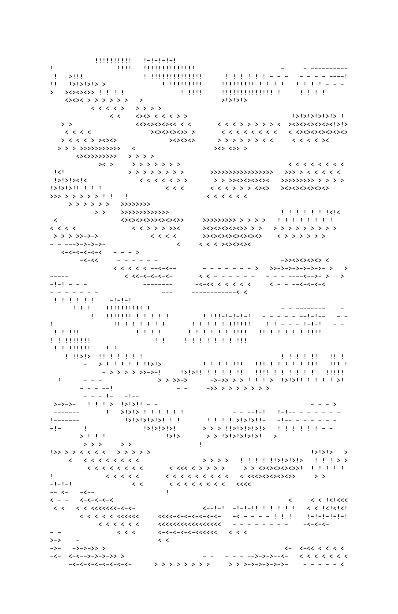$\begin{minipage}{.4\linewidth} \begin{tabular}{l} \hline \textbf{1111} & \textbf{11111} & \textbf{11111} \\ \hline \end{tabular} \end{minipage}$ Ţ.  $>$  ><><><>>!!!!!  $\left\langle \left\langle \left\langle \cdot \right\rangle \left\langle \cdot \right\rangle \right\rangle \left\langle \cdot \right\rangle \right\rangle >\left\langle \cdot \right\rangle \left\langle \cdot \right\rangle \right\langle \cdot \right\rangle$  $>!>!>!>!>$  $<<<<>$  > >>>>  $<<$   $<$   $<$   $<$   $<$   $<$   $<$   $<$   $>$   $>$  $|2|2|2|2|2|2|2|2|$  $\rightarrow$   $\rightarrow$  $\prec$   $\prec$   $\prec$   $\prec$  $>$ <><><><>> > >  $>$  $\frac{1}{2}$  $>$ >>>>>>><< <<<<  $>>$   $>>$   $>$  $55533$  $1<1$ >>>>>>>>>>  $(1,1)$   $(2,2)$   $(3,3)$   $(3,3)$   $(3,3)$   $(3,3)$   $(3,3)$   $(3,3)$   $(3,3)$   $(3,3)$   $(3,3)$   $(3,3)$   $(3,3)$   $(3,3)$   $(3,3)$   $(3,3)$   $(3,3)$   $(3,3)$   $(3,3)$   $(3,3)$   $(3,3)$   $(3,3)$   $(3,3)$  $\kappa$   $\kappa$   $\kappa$   $\kappa$   $\kappa$   $\kappa$  $1111111118$  $\langle \langle \langle \langle \rangle \rangle \rangle$  $>$  > > > ><br>->->->  $- - - - - - - - - - \sim$   $\sim$   $\sim$   $\sim$   $\sim$   $\sim$ ーくーくく  $\rightarrow$ ><><><><><><  $<$   $<$   $<$   $<$   $<$   $<$   $<$   $<$   $-$  --<-<-- $\langle \langle \cdot, \cdot, \cdot, \cdot, \cdot, \cdot, \cdot, \cdot \rangle \rangle$ **\_\_\_\_\_** \_\_\_\_\_\_\_\_\_ - - - - - - - $---$ -------------< <  $\label{eq:1} \begin{array}{ll} \Gamma\left(1,1,1,1,1\right) & = -1 + 1 + 1 \end{array}$  $\mathbf{I}^{\text{max}}$  $1.1, 1.1, 11, \ldots$   $11.1$  $\begin{minipage}{0.9\textwidth} \begin{minipage}{0.9\textwidth} \begin{tabular}{@{}c@{}} \hline \multicolumn{1}{c}{\textbf{1}} & \multicolumn{1}{c}{\textbf{1}} & \multicolumn{1}{c}{\textbf{1}} & \multicolumn{1}{c}{\textbf{1}} & \multicolumn{1}{c}{\textbf{1}} & \multicolumn{1}{c}{\textbf{1}} & \multicolumn{1}{c}{\textbf{1}} & \multicolumn{1}{c}{\textbf{1}} & \multicolumn{1}{c}{\textbf{1}} & \multicolumn{1}{c}{\textbf{1}} & \multicolumn{1}{c}{\textbf{1}} & \$  $(111 - 1)$  $\mathbf{1}$  $- - - - - 1$  $\rightarrow$ >>>>>>>>>>  $\begin{aligned} \mathbf{u}_1 &= \mathbf{u}_2 + \mathbf{u}_3 + \mathbf{u}_4 + \mathbf{u}_5 + \mathbf{u}_6 + \mathbf{u}_7 + \mathbf{u}_8 + \mathbf{u}_9 + \mathbf{u}_9 + \mathbf{u}_9 + \mathbf{u}_9 + \mathbf{u}_9 + \mathbf{u}_9 + \mathbf{u}_9 + \mathbf{u}_9 + \mathbf{u}_9 + \mathbf{u}_9 + \mathbf{u}_9 + \mathbf{u}_9 + \mathbf{u}_9 + \mathbf{u}_9 + \mathbf{u}_9 + \mathbf{u}_9 + \mathbf{u}_9 + \mathbf{u}_9 + \mathbf{u}_9$  $>->->-$  | | | > |>|>|| - - $\frac{1}{2}$ <br>  $\frac{1}{2}$  $> 1.1.1$  $>$  > !>!>!>!>!>!>! >  $>$  > >  $>$  $\langle \langle \rangle$   $| \langle \rangle$  $\prec$  $\sim$   $\sim$  $>->$  $\rightarrow \rightarrow -\rightarrow -\rightarrow \rightarrow$  $\leftarrow$  <-<< < < < < <  $-(-(-(-2)-2)-2)$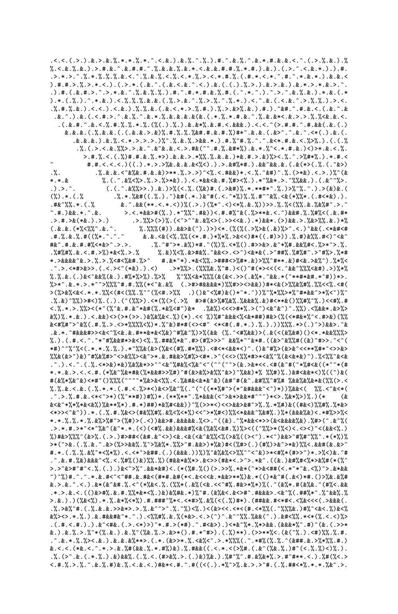$\frac{9}{2}$ , <, &,  $\frac{9}{2}$ , &,  $\frac{3}{2}$ ,  $\frac{3}{2}$ ,  $\frac{4}{2}$ ,  $\frac{5}{2}$ ,  $\frac{4}{2}$ ,  $\frac{6}{2}$ ,  $\frac{8}{2}$ ,  $\frac{8}{2}$ ,  $\frac{8}{2}$ ,  $\frac{8}{2}$ ,  $\frac{8}{2}$ ,  $\frac{8}{2}$ ,  $\frac{8}{2}$ ,  $\frac{8}{2}$ ,  $\frac{8}{2}$ ,  $\frac{8}{2}$ ,  $\frac{8}{2}$ ,  $\frac$ .).#.(.&.#.>.^.>.\*.&.^.%.&.%.).#.^.#.\*.#.&.%.#.(.^.\*.^.).^.>.^.&.%.&.).\*.&.(.\* ) .\*. (.%.) .^.\*.&.) .<.%.%.%.&.&. (.%.>.&.^.%.>.%.^.%.\*.) .<.^.&. (.<.&.^.>.%.%.) .>.<.  $.8.2, 1.8.3, 1.8.4, 1.8.5, 1.8.4, 1.8.5, 1.8.4, 1.8.5, 1.8.5, 1.8.5, 1.8.5, 1.8.5, 1.8.5, 1.8.5, 1.8.5, 1.8.5, 1.8.5, 1.8.5, 1.8.5, 1.8.5, 1.8.5, 1.8.5, 1.8.5, 1.8.5, 1.8.5, 1.8.5, 1.8.5, 1.8.5, 1.8.5, 1.8.5, 1.8.5, 1.8.$ . & . & . ) . & . Y . < . \* . > . > . > . ) %^ . Y . & . Y . > &&. \* . ) . # . Y . ^ . ^ . &<\* . # . & . < . %> % . ) . ( . ( . %  $>.*.*.*``$ , < . (. %) # . # . & . %, \* > ) . & . & . > . \* % , % . & . & . ) \* & . # . > . &  $)$  % > < . %, ^ . > %#\* %, . ) . \* . # . <  $\cdot$ %.  $\ldots$ , & . & . < ^ & \, & . # . & . & > > \* \* . \, . > . > ) ^ < \, . . . #&& ) \* . < . \, . ^ &# ) ^ . \, . ( > \* & ) . < . > . ) \, ^ ( &  $\%, (\, . \, \hat{\, .}\, \&\,\&\,\&\,\&\,,\, \mathcal{N},\, \mathcal{N},\, \mathcal{N},\, \mathcal{N})$  , ) , < , \*&&<& , # ,  $\%$  + >< $\%,$  ) , \*  $\%x \cdot \, > \, . \, \frac{1}{2}\%x \cdot \, .$  ,  $\&\,\hat{\, \cdot\,}\, \mathcal{N},\, \mathcal{N},\, \mathcal{N},\, \mathcal{N},\, \mathcal{N},\, \mathcal{N},\, \mathcal{N},\, \mathcal{N},\, \mathcal{N},\$  $\ast$  .  $\ast$  . &  $( .(.^-.&\mathcal{X}\mathcal{Y}\mathcal{Y}\mathcal{X}^{\mathcal{Y}})) .\&. ) > \mathcal{Y}(0.0,0.000) + ( ..2,0.0000) + ( ..2,0.0000) + ( ..2,0.0000) + ( ..2,0.0000) + ( ..2,0.0000) + ( ..2,0.0000) + ( ..2,0.0000) + ( ..2,0.0000) + ( ..2,0.0000) + ( ..2,0.0000) + ( ..2,0.0000) + ( ..2,0.0000) + ( ..2,0$  $.$ ). $>$ . $\hat{ }$ .  $(\%)$  .\*.  $(\%$  $\frac{1}{2}$ , \*  $\frac{1}{2}$  ,  $\frac{1}{2}$  ,  $\frac{1}{2}$  ,  $\frac{1}{2}$  ,  $\frac{1}{2}$  ,  $\frac{1}{2}$  ,  $\frac{1}{2}$  ,  $\frac{1}{2}$  ,  $\frac{1}{2}$  ,  $\frac{1}{2}$  ,  $\frac{1}{2}$  ,  $\frac{1}{2}$  ,  $\frac{1}{2}$  ,  $\frac{1}{2}$  ,  $\frac{1}{2}$  ,  $\frac{1}{2}$  ,  $\frac{1}{2}$  ,  $\frac{$  $. #&^{\sim}\%$ %.\*. (.%  $\dots$ #.)&&.\*. $\dots$ &.  $>$ .<.\*&&>#(%.).\*^%%^.#&))<.#.#%^&(.%>\*\*&.<.^)&&#.%.%#%<(.&.#\*  $. > .#. >& (*&. ). >. )$ .>.%%>(>)%.(<^>^&.&%<>(.>><<&.).\*)&&\*.(>)&&.>.%&>%%.&.)\*%  $(. & . & . & .$   $(*\%&\%~\%~~. & .$  $\%, \frac{1}{2}\%, \frac{1}{2}\%, \frac{1}{2}\%, \frac{1}{2}\%, \frac{1}{2}\%, \frac{1}{2}\%, \frac{1}{2}\%, \frac{1}{2}\%, \frac{1}{2}\%, \frac{1}{2}\%, \frac{1}{2}\%, \frac{1}{2}\%, \frac{1}{2}\%, \frac{1}{2}\%, \frac{1}{2}\%, \frac{1}{2}\%, \frac{1}{2}\%, \frac{1}{2}\%, \frac{1}{2}\%, \frac{1}{2}\%, \frac{1}{2}\%, \frac{1}{2}\%, \frac{1}{2}\%, \frac{1}{2}\%, \frac{1}{2}\%, \frac{1}{2}\%, \frac{1}{2}\%, \frac$  $. #. \% . & . \% . # ((% * . ^$  $k.k. \< k(\langle\%, \% \rangle \< *, \# \) * \%\; > k(\langle \times \rangle \# * ((. \#)) ) \< \*, \# \< \rangle \< k \wedge \< \dots$ #&^.#.&.#.#%<\*&>^.>.>.  $\frac{1}{2}$ ,  $\frac{1}{2}$  +  $\frac{1}{2}$  +  $\frac{1}{2}$  +  $\frac{1}{2}$  (%),  $\frac{1}{2}$  (+  $\frac{1}{2}$  +  $\frac{1}{2}$  ,  $\frac{1}{2}$  ,  $\frac{1}{2}$  ,  $\frac{1}{2}$  ,  $\frac{1}{2}$  ,  $\frac{1}{2}$  ,  $\frac{1}{2}$  ,  $\frac{1}{2}$  ,  $\frac{1}{2}$  ,  $\frac{1}{2}$  ,  $\frac{1}{2}$  ,  $\$ %.&)%<%.&>#&%.^&&<>.<>^)<&\*&(.>^##%.%#%#^.>^#%>.%\*#  $\frac{1}{2}$ .  $\frac{1}{2}$ .  $\frac{1}{2}$ .  $\frac{1}{2}$ .  $\frac{1}{2}$ .  $\frac{1}{2}$ .  $\frac{1}{2}$ .  $\frac{1}{2}$ .  $\frac{1}{2}$ .  $\frac{1}{2}$ .  $\frac{1}{2}$ .  $\frac{1}{2}$ .  $\frac{1}{2}$ .  $\frac{1}{2}$ .  $\frac{1}{2}$ .  $\frac{1}{2}$ .  $\frac{1}{2}$ .  $\frac{1}{2}$ .  $\frac{1}{2}$ .  $\frac{1}{2}$ . \*.>&&&&^&.>.%.>.%<#<%&#.%>^ #. &\*^\*). \*&<%%. >###<>%#\*. &)>%%^#\*\*. &)#<&. >&%^). %\*%< .>\*%%>.(%%%&.%^#.)<()^#(\*><<(<.^&&^%%%<&#).>)%\*%  $\frac{1}{6}$   $\frac{1}{6}$   $\frac{1}{6}$   $\frac{1}{6}$   $\frac{1}{6}$   $\frac{1}{6}$   $\frac{1}{6}$  ( & ( & < . > > ( . &  $\frac{1}{6}$  \* . ^ & & . \* ( ^ \* \* # \* & # . \* ^ # ) ) \* > .  $\%, \%, \&.(.)$  &< ^ & & \, ( & . ) . # \, \* \, > \, ) . \, > \,  $\frac{9}{2}$  > \* ^ . & . \* . > . \* ^ ^ > % % % ^ # . # . % % ( \* < ^ & . & %)  $(. > # > # \&\&\&* )\%$  ; #>><>&&) ) #\*<&(>%% ; ; ; ; ; ; ; << ; < ; = < ; + < .%.&)^%%)>#<)%.(.).(^(%%>).<\*(%(>(.>% #>#(&>%#%&%.%&&%.&)#<\*\*&()%%#%^%.)<<#%.# <.\, \*.>.\,\><(\*^(\,^&.#.&>\*&#(\,.\*&\<#^)&\*\_.\&\,\<<<>#\*\,.>(^)<&^&^)^.\,\).<\&&\*.&>\> &%)%.\*.&.).<.&&)<>(>\*(>>.)&%&%<.%)(\*).<< %)%#^&&&<%<&\*##)#&>(%(<\*#&\*%^<.#>&)(%% &<#%#^>^&%(.#.%.>.<>\*%%%<%)\*.%^&)#\*#(<><#^\_<\*\*(.#.\*.).%.).))%%%.\*>(.)^>)&&>.^& .&.\*.^#&&&#>><&<^%<&.&.#\*\*&\*&<%&)^#%&^%)>%(&& (%.^<#%&&)>(.&(<(&%&#)()<\*.\*&&%%%> %.).(.#.<.^.^\*^#%&&#\*>&<)<%.%.##&%\*&^.#>(#%>>>^ &&%\*^^&\*#.((&>^&%%#((&)^#>>.^<^( \*#)^^%^%<(.\*.\*.%.%.).\*^%%&(&>(%&<(#%.#\*%%).<#<\*<&&\*<)^.()&^#%>(&>&^<<\*\*%#\*^<>>>^  $\%$ %&(&>^)&)^#%&%#>^<>&%%><&^>\*.&.#&&>%#%><#\*.>^(<<>(%%\*#>\*<&%^%(&<&\*&)^).%<%%^&<& .^.).<.^.(.%.<\*>&)\*&)%&%&\*>>^^<&^%#&%<%&~<^(^^(^^>(&.>&\*<<.<#(&^#(^\*%#<&((\*^^\*(# \*.\*.&.>.<.<.#.(\*%&^%&\*#&(%\*&&#>>%#)^#(&>&%>&%%^&>)^%&&)\*%%#)%.)&#<&&\*<)%((^)&( #(&%\*%&^&)<\*#^()%%%(^^^^\*%&>&<%%.<.%&#&<&\*&^&)(&#^#(&^.&#%%^#%#`%&&%&%&\*&(%%(>.< . ^.>.%.#.&.<\*<^>\*)(%^\*\*#))#%)\*.(\*\*%\*\*^.%\*&&&(<^>&\*>&&\*#^^^)\*<>.%&\*%>)%.)(\*  $(x)$ &<&^\*%\*%\*&<&%)%&\*\*%\*).#.\*)##)\*&%#<&&))^%(>>\*<)<<>&&>&#^>%.%.\*%#)&((#&<)%%#%.%\*&> <\*>><^&^)).\*.(.%.#.%&<>(#&%%#%.&%<%<\*%)<<^>><%#<%>%%<\*&&&^%&#%.)%\*(&&&%&)<.\*#%>>%< \*.\*.%.%.\*.%.&%>%#^>(%#)>(.<))&&>#.&&&&&.%<>.^((&).^%\*&&<\*>>(&<&&&&%&).%#>(^.&^%( .>.\*.#.>\*^<\*^%&^(&^\*.\*.(<)(<#%.&&)&&&#%<&(%&%<&#.%)%><((^%%>\*(%<)<.<>><)^<(&&<%.) %)#&>%%%^(&>%.(.>.)#>##<(&#.&^<>)<&.<&(<&^&%%<%(>&%((><^).\*<^)&&>^#%#^%%^\_\*(\*%)% >\*(^>&.(.%.&.^.&>(%>>&&%.%^>%&%\*.%^>^#.&&>)\*%&)#<(%#>(.)(#%)>&^>\*&)%%<.&&#(&.&>^ #.\*.(.%.%.&%~\*<%\*%).<.<\*^>&##.(.)(&&&.))%)%~&%&%<>%%^^<~&)>\*<#%\*(#>>^)\*.>%<)&.^# . ^.&.#.%)&&&^<%.<.%#%()&)%%.%)(#&&\*&%\*>.&<>>(#&\*<.>^>.\*&^.((&.)&#%#<%\*>&%#(\*(%^ >.>^&>#^#^<.%.(.).)&<^>%^.&&\*&#)<.(\*(%#.%()(>.>>%.\*&\*(^\*>&<##(<.\*^\*^&.<%)^>.&\*&& - ^)^%)#.^.^.\*.&.#<^<^##.&.#&<(#\*#.&#(\*<.&<<&.\*&&>\*\*%)&.\*(()\*&^#(.&<)\*#.()>%&.&%#  $x_1, x_2, \ldots, x_n$ ,  $x_3, x_4, x_5, \ldots, x_n$ ,  $x_4, x_5, x_6, x_7, x_8, x_9, x_1, x_2, x_3, x_4, x_5, x_6, x_7, x_8, x_9, x_1, x_2, x_3, x_4, x_5, x_6, x_7, x_8, x_9, x_1, x_2, x_3, x_4, x_5, x_6, x_7, x_8, x_9, x_1, x_2, x_3, x_4, x_5, x_6, x_7, x_8, x_9, x_1, x_2, x_3,$ . \* . > . & . < . ( ( ) &>#%. & . # . %%\*&\*<%. )&)&%#& . \*)%^# . (&%&< . &<>#^ . #&&&> .<&^%(. ##%\*^ . %^&&%. % >.&.).)(%&<%).\*.%.&\*%<\*%).#.###^%\*<.<\*#>%.&%(<(.%)#\*).(##&&.#<\*#<.<%&<<(.>&&&(. .%.>&%^#.(.%.&.&.>>&\*>.>.%.&^^>^.%.^%)<%.)<(&><<.<\*<(#.<\*%%(.^%%%&.)#%^<&<.%)&<% &%><>.\*.%.).&.#&&#&^\*.^.).<%%#%.&.%(\*&>.<.>(^)^.&^^%%.%&&(^.).&#<%%.\*<\*(%.<.<)%>  $k.$ ).  $k.$   $k.$   $k.$   $\rightarrow$   $k.$   $\rightarrow$   $k.$   $\rightarrow$   $\cdots$   $k.$   $\rightarrow$   $\cdots$   $k.$   $\rightarrow$   $k.$   $\rightarrow$   $k.$   $\rightarrow$   $k.$   $\rightarrow$   $k.$   $\rightarrow$   $k.$   $\rightarrow$   $\cdots$   $k.$   $\rightarrow$   $\cdots$   $k.$   $\rightarrow$   $\cdots$   $k.$   $\rightarrow$   $\cdots$   $\rightarrow$   $\cdots$   $\rightarrow$   $\cdots$   $\rightarrow$   $\cdots$   $\rightarrow$  . ^ . & . \* . % . %>< . & . ) . & . & . & %\*\*> . ( . \* . ( &>>\* . % . < & %<^ . > . \* %%% ( . ^ . \*#% ( % . % . ^ ( &## . & . > % \* % "). + . ) .%.(>^.&.(.\*.%.).&)&&%.(.%.<.(#>&%.>.(.)&)%&.).%#^%^.#.&%&\*%.>.#^#\*\*.<.).%#(%<.> <.#.%.>.%.^.&.%.#)&.%.<.&.<.)#&\*<.#.^.#((<(.).\*%^>%.&.>.>^#.(.%.##<\*%.\*.\*.%&^.>.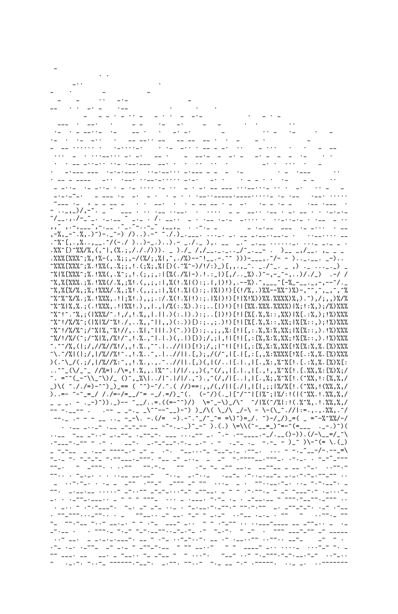$\cdots$  . . . . . . . and the contract complete the contract of the contract of the contract of the contract of the contract of the  $\omega_{\rm eff} = 0.2$   $\omega_{\rm eff}$ الدام المواسط الوامل  $\ddot{\phantom{0}}$ <u>الموارد المنتجر المرا</u> كمحتمد المسمحين كمكم ككم المناطق المحتارين  $-\frac{1}{2}$ الأستار ساجدات المار  $-$ <sup>-</sup>  $\hat{N}$ , .) ^) - . \_ ,−%,  $\begin{aligned} \begin{bmatrix} 1 & 1 \\ 2 & 2 \end{bmatrix} & = \begin{bmatrix} 1 & 1 \\ 2 & 1 \end{bmatrix} \begin{bmatrix} 1 & 1 \\ 2 & 1 \end{bmatrix} \begin{bmatrix} 1 & 1 \\ 2 & 1 \end{bmatrix} \end{aligned}$  $\begin{array}{ccccccccc} \n\frac{1}{2} & -\frac{1}{2} & -\frac{1}{2} & -\frac{1}{2} & -\frac{1}{2} & -\frac{1}{2} & -\frac{1}{2} & -\frac{1}{2} & -\frac{1}{2} & -\frac{1}{2} & -\frac{1}{2} & -\frac{1}{2} & -\frac{1}{2} & -\frac{1}{2} & -\frac{1}{2} & -\frac{1}{2} & -\frac{1}{2} & -\frac{1}{2} & -\frac{1}{2} & -\frac{1}{2} & -\frac{1}{2} & -\frac{1}{2} & -\frac{1}{2} & -\frac$  $\overline{1}$ ~%~%|%,%.;(.!%%,,.!|%%!.),,|.,|/%(:.%).);;..[|)!)[!|[%%.%%%.%%!)|%;!:%,);/%)%% ~%~!~.~%,;(|%%%/~.!,/,!.%,,|.||.)(:.|).):;..[|)!)[!|[%[.%,%::,%%)|%[.:%,);!%)%%%  $\hat{\gamma}_{s}^{\prime} \mid \text{1777}^{\prime}, \text{1777}^{\prime} \mid \text{1777}^{\prime} \mid \text{1777}^{\prime}, \text{1777}^{\prime}, \text{1777}^{\prime}, \text{1777}^{\prime}, \text{1777}^{\prime}, \text{1777}^{\prime}, \text{1777}^{\prime} \mid \text{1777}^{\prime} \mid \text{1777}^{\prime}, \text{1777}^{\prime}, \text{1777}^{\prime}, \text{1777}^{\prime}, \text{1777}^{\prime}, \text{1777$ ~%~!/%/%~;/~%|%,~%!//,..%|,~|||.)(~.))[):;.,;,,%:[!|[,:.%,%:%,%%;|%[%::,).!%)%%%  $\frac{1}{2} \sum_{r=1}^{r} \frac{1}{r} \sum_{r=1}^{r} \frac{1}{r} \sum_{r=1}^{r} \frac{1}{r} \sum_{r=1}^{r} \frac{1}{r} \sum_{r=1}^{r} \frac{1}{r} \sum_{r=1}^{r} \frac{1}{r} \sum_{r=1}^{r} \frac{1}{r} \sum_{r=1}^{r} \frac{1}{r} \sum_{r=1}^{r} \frac{1}{r} \sum_{r=1}^{r} \frac{1}{r} \sum_{r=1}^{r} \frac{1}{r} \sum_{r=1}^{r} \frac{1}{r} \sum_{r=1}^{r$ \_)\( ^././=)-^^)\_)\_== ( ^^)-^/.^.( //)==:,,/(,/||[./|,|[|,;;|%/%[!.(^%%,!(%%,%,/  $\begin{array}{l} \begin{array}{l} \mbox{1.5}\quad \mbox{1.5}\quad \mbox{1.5}\quad \mbox{1.5}\quad \mbox{1.5}\quad \mbox{1.5}\quad \mbox{1.5}\quad \mbox{1.5}\quad \mbox{1.5}\quad \mbox{1.5}\quad \mbox{1.5}\quad \mbox{1.5}\quad \mbox{1.5}\quad \mbox{1.5}\quad \mbox{1.5}\quad \mbox{1.5}\quad \mbox{1.5}\quad \mbox{1.5}\quad \mbox{1.5}\quad \mbox{1.5}\quad \mbox{1.5}\quad \mbox{1.5}\quad \mbox{1.5}\$  $\frac{1}{2}$  ,  $\frac{1}{2}$  ,  $\frac{1}{2}$  ,  $\frac{1}{2}$  ,  $\frac{1}{2}$  ,  $\frac{1}{2}$  ,  $\frac{1}{2}$  ,  $\frac{1}{2}$  ,  $\frac{1}{2}$  ,  $\frac{1}{2}$  ,  $\frac{1}{2}$  ,  $\frac{1}{2}$  ,  $\frac{1}{2}$  ,  $\frac{1}{2}$  ,  $\frac{1}{2}$  ,  $\frac{1}{2}$  ,  $\frac{1}{2}$  ,  $\frac{1}{2}$  ,  $\frac{1$ ika ini iliyak (hilikka hilaiki katik) kwa mavi<sup>6</sup>ili-∕hkati≡\ تحييش ويهجر ويحجم يتخصصهم الحياري الهروي خياليته المعجباتين  $- - - - - -$ .  $\cdot$ you ou loo quyu yaqoon u quyyou y **MALES ARALISED LASTER**  $\sim$  .  $\sim$ wa shekara wa Frid  $- - -$ -- Lelezio ik i menerativnih in profileranski k  $\mathcal{L}(\mathcal{L}(\mathcal{L})\cap \mathcal{L}(\mathcal{L}))=\mathcal{L}(\mathcal{L}(\mathcal{L}))$ ment and a probability المواجهة المراجي وجريب ويتجاهدوا التجيز الجيارون  $\sim$  . . - Loviece A  $\omega$  and  $\omega$  . The second second  $\omega$  $\cdots$   $\bar{\cdots}$ n viel (1116–144) in novel the concerning of the second service ۵÷. nyllenyyleisen vo states to an international a valokati shughadha iliyo kulokati kata kulo  $2 - 2 - 1$ المستمر والمنافس الحاج ning in m a la  $= 1.11 - 1.001$ ally a film for the s الزواوين المستشفر كملاوي ومعارضهم متبعد والمتروح مستشفين وجهم معرور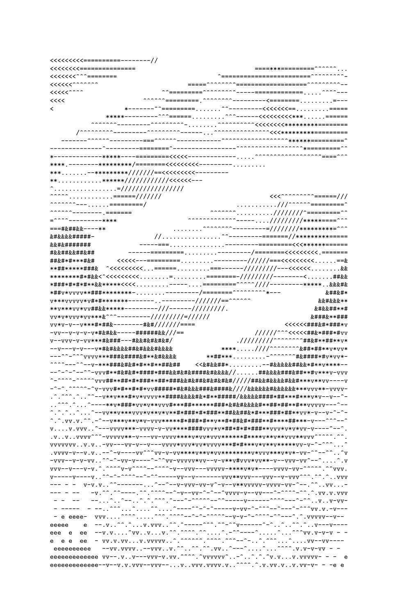| <<<<<<<<<<<===========--------//                                                                                                                                                                                                                                                                                                                                                                                                                                                                                                                                                                                                                                                                                                                                                                                                                                                                                                                                                                                                                                                                                                                                                                                                                                                                                                                                                                                                                                                                                                                                                                                                                                                                                                                                                                                                                                                                                                                                                                                                                                                                                                                                                                                                                                                                                                                                                                                                                                                                                                                                                                                                                                                                                                                                                                                                                                                                                                                                                                               |                                                                                                                        |
|----------------------------------------------------------------------------------------------------------------------------------------------------------------------------------------------------------------------------------------------------------------------------------------------------------------------------------------------------------------------------------------------------------------------------------------------------------------------------------------------------------------------------------------------------------------------------------------------------------------------------------------------------------------------------------------------------------------------------------------------------------------------------------------------------------------------------------------------------------------------------------------------------------------------------------------------------------------------------------------------------------------------------------------------------------------------------------------------------------------------------------------------------------------------------------------------------------------------------------------------------------------------------------------------------------------------------------------------------------------------------------------------------------------------------------------------------------------------------------------------------------------------------------------------------------------------------------------------------------------------------------------------------------------------------------------------------------------------------------------------------------------------------------------------------------------------------------------------------------------------------------------------------------------------------------------------------------------------------------------------------------------------------------------------------------------------------------------------------------------------------------------------------------------------------------------------------------------------------------------------------------------------------------------------------------------------------------------------------------------------------------------------------------------------------------------------------------------------------------------------------------------------------------------------------------------------------------------------------------------------------------------------------------------------------------------------------------------------------------------------------------------------------------------------------------------------------------------------------------------------------------------------------------------------------------------------------------------------------------------------------------------|------------------------------------------------------------------------------------------------------------------------|
| <<<<<<<<<<<<>                                                                                                                                                                                                                                                                                                                                                                                                                                                                                                                                                                                                                                                                                                                                                                                                                                                                                                                                                                                                                                                                                                                                                                                                                                                                                                                                                                                                                                                                                                                                                                                                                                                                                                                                                                                                                                                                                                                                                                                                                                                                                                                                                                                                                                                                                                                                                                                                                                                                                                                                                                                                                                                                                                                                                                                                                                                                                                                                                                                                  | ====***========= <sup>^^^^^^</sup> ^                                                                                   |
| <<<<<<<<<<<>>                                                                                                                                                                                                                                                                                                                                                                                                                                                                                                                                                                                                                                                                                                                                                                                                                                                                                                                                                                                                                                                                                                                                                                                                                                                                                                                                                                                                                                                                                                                                                                                                                                                                                                                                                                                                                                                                                                                                                                                                                                                                                                                                                                                                                                                                                                                                                                                                                                                                                                                                                                                                                                                                                                                                                                                                                                                                                                                                                                                                  | ^======================== <sup>^^^^^^^^^</sup> ~                                                                       |
| $\ll$ <<<<<<<<<<<<                                                                                                                                                                                                                                                                                                                                                                                                                                                                                                                                                                                                                                                                                                                                                                                                                                                                                                                                                                                                                                                                                                                                                                                                                                                                                                                                                                                                                                                                                                                                                                                                                                                                                                                                                                                                                                                                                                                                                                                                                                                                                                                                                                                                                                                                                                                                                                                                                                                                                                                                                                                                                                                                                                                                                                                                                                                                                                                                                                                             |                                                                                                                        |
| <<<<                                                                                                                                                                                                                                                                                                                                                                                                                                                                                                                                                                                                                                                                                                                                                                                                                                                                                                                                                                                                                                                                                                                                                                                                                                                                                                                                                                                                                                                                                                                                                                                                                                                                                                                                                                                                                                                                                                                                                                                                                                                                                                                                                                                                                                                                                                                                                                                                                                                                                                                                                                                                                                                                                                                                                                                                                                                                                                                                                                                                           |                                                                                                                        |
| <<                                                                                                                                                                                                                                                                                                                                                                                                                                                                                                                                                                                                                                                                                                                                                                                                                                                                                                                                                                                                                                                                                                                                                                                                                                                                                                                                                                                                                                                                                                                                                                                                                                                                                                                                                                                                                                                                                                                                                                                                                                                                                                                                                                                                                                                                                                                                                                                                                                                                                                                                                                                                                                                                                                                                                                                                                                                                                                                                                                                                             |                                                                                                                        |
| <                                                                                                                                                                                                                                                                                                                                                                                                                                                                                                                                                                                                                                                                                                                                                                                                                                                                                                                                                                                                                                                                                                                                                                                                                                                                                                                                                                                                                                                                                                                                                                                                                                                                                                                                                                                                                                                                                                                                                                                                                                                                                                                                                                                                                                                                                                                                                                                                                                                                                                                                                                                                                                                                                                                                                                                                                                                                                                                                                                                                              | *-------^^=========,,,,,,,^^---------<<<<<<<==,,,,,,,,=====                                                            |
|                                                                                                                                                                                                                                                                                                                                                                                                                                                                                                                                                                                                                                                                                                                                                                                                                                                                                                                                                                                                                                                                                                                                                                                                                                                                                                                                                                                                                                                                                                                                                                                                                                                                                                                                                                                                                                                                                                                                                                                                                                                                                                                                                                                                                                                                                                                                                                                                                                                                                                                                                                                                                                                                                                                                                                                                                                                                                                                                                                                                                | *****--------- <sup>^^^</sup> ====== <sub>・・・</sub> ・・・・・・ <sup>^^^</sup> ------<<<<<<<<<*** <sub>*・・・・・・</sub> ====== |
|                                                                                                                                                                                                                                                                                                                                                                                                                                                                                                                                                                                                                                                                                                                                                                                                                                                                                                                                                                                                                                                                                                                                                                                                                                                                                                                                                                                                                                                                                                                                                                                                                                                                                                                                                                                                                                                                                                                                                                                                                                                                                                                                                                                                                                                                                                                                                                                                                                                                                                                                                                                                                                                                                                                                                                                                                                                                                                                                                                                                                |                                                                                                                        |
|                                                                                                                                                                                                                                                                                                                                                                                                                                                                                                                                                                                                                                                                                                                                                                                                                                                                                                                                                                                                                                                                                                                                                                                                                                                                                                                                                                                                                                                                                                                                                                                                                                                                                                                                                                                                                                                                                                                                                                                                                                                                                                                                                                                                                                                                                                                                                                                                                                                                                                                                                                                                                                                                                                                                                                                                                                                                                                                                                                                                                |                                                                                                                        |
|                                                                                                                                                                                                                                                                                                                                                                                                                                                                                                                                                                                                                                                                                                                                                                                                                                                                                                                                                                                                                                                                                                                                                                                                                                                                                                                                                                                                                                                                                                                                                                                                                                                                                                                                                                                                                                                                                                                                                                                                                                                                                                                                                                                                                                                                                                                                                                                                                                                                                                                                                                                                                                                                                                                                                                                                                                                                                                                                                                                                                |                                                                                                                        |
|                                                                                                                                                                                                                                                                                                                                                                                                                                                                                                                                                                                                                                                                                                                                                                                                                                                                                                                                                                                                                                                                                                                                                                                                                                                                                                                                                                                                                                                                                                                                                                                                                                                                                                                                                                                                                                                                                                                                                                                                                                                                                                                                                                                                                                                                                                                                                                                                                                                                                                                                                                                                                                                                                                                                                                                                                                                                                                                                                                                                                |                                                                                                                        |
|                                                                                                                                                                                                                                                                                                                                                                                                                                                                                                                                                                                                                                                                                                                                                                                                                                                                                                                                                                                                                                                                                                                                                                                                                                                                                                                                                                                                                                                                                                                                                                                                                                                                                                                                                                                                                                                                                                                                                                                                                                                                                                                                                                                                                                                                                                                                                                                                                                                                                                                                                                                                                                                                                                                                                                                                                                                                                                                                                                                                                |                                                                                                                        |
|                                                                                                                                                                                                                                                                                                                                                                                                                                                                                                                                                                                                                                                                                                                                                                                                                                                                                                                                                                                                                                                                                                                                                                                                                                                                                                                                                                                                                                                                                                                                                                                                                                                                                                                                                                                                                                                                                                                                                                                                                                                                                                                                                                                                                                                                                                                                                                                                                                                                                                                                                                                                                                                                                                                                                                                                                                                                                                                                                                                                                |                                                                                                                        |
| ***--*********///////==<<<<<<<---------                                                                                                                                                                                                                                                                                                                                                                                                                                                                                                                                                                                                                                                                                                                                                                                                                                                                                                                                                                                                                                                                                                                                                                                                                                                                                                                                                                                                                                                                                                                                                                                                                                                                                                                                                                                                                                                                                                                                                                                                                                                                                                                                                                                                                                                                                                                                                                                                                                                                                                                                                                                                                                                                                                                                                                                                                                                                                                                                                                        |                                                                                                                        |
| ********////////////<<<<<---                                                                                                                                                                                                                                                                                                                                                                                                                                                                                                                                                                                                                                                                                                                                                                                                                                                                                                                                                                                                                                                                                                                                                                                                                                                                                                                                                                                                                                                                                                                                                                                                                                                                                                                                                                                                                                                                                                                                                                                                                                                                                                                                                                                                                                                                                                                                                                                                                                                                                                                                                                                                                                                                                                                                                                                                                                                                                                                                                                                   |                                                                                                                        |
|                                                                                                                                                                                                                                                                                                                                                                                                                                                                                                                                                                                                                                                                                                                                                                                                                                                                                                                                                                                                                                                                                                                                                                                                                                                                                                                                                                                                                                                                                                                                                                                                                                                                                                                                                                                                                                                                                                                                                                                                                                                                                                                                                                                                                                                                                                                                                                                                                                                                                                                                                                                                                                                                                                                                                                                                                                                                                                                                                                                                                |                                                                                                                        |
| `^^^^=======////////                                                                                                                                                                                                                                                                                                                                                                                                                                                                                                                                                                                                                                                                                                                                                                                                                                                                                                                                                                                                                                                                                                                                                                                                                                                                                                                                                                                                                                                                                                                                                                                                                                                                                                                                                                                                                                                                                                                                                                                                                                                                                                                                                                                                                                                                                                                                                                                                                                                                                                                                                                                                                                                                                                                                                                                                                                                                                                                                                                                           | <<<^^^^^^^^^^^======///                                                                                                |
| ^^^^^^^---=========/                                                                                                                                                                                                                                                                                                                                                                                                                                                                                                                                                                                                                                                                                                                                                                                                                                                                                                                                                                                                                                                                                                                                                                                                                                                                                                                                                                                                                                                                                                                                                                                                                                                                                                                                                                                                                                                                                                                                                                                                                                                                                                                                                                                                                                                                                                                                                                                                                                                                                                                                                                                                                                                                                                                                                                                                                                                                                                                                                                                           |                                                                                                                        |
| ^^^^^^-------- <sub>-</sub> ======                                                                                                                                                                                                                                                                                                                                                                                                                                                                                                                                                                                                                                                                                                                                                                                                                                                                                                                                                                                                                                                                                                                                                                                                                                                                                                                                                                                                                                                                                                                                                                                                                                                                                                                                                                                                                                                                                                                                                                                                                                                                                                                                                                                                                                                                                                                                                                                                                                                                                                                                                                                                                                                                                                                                                                                                                                                                                                                                                                             | ^^^^^^^^////////^=========^^                                                                                           |
| =^^^^---------****                                                                                                                                                                                                                                                                                                                                                                                                                                                                                                                                                                                                                                                                                                                                                                                                                                                                                                                                                                                                                                                                                                                                                                                                                                                                                                                                                                                                                                                                                                                                                                                                                                                                                                                                                                                                                                                                                                                                                                                                                                                                                                                                                                                                                                                                                                                                                                                                                                                                                                                                                                                                                                                                                                                                                                                                                                                                                                                                                                                             | --------------------/////////*****==== <sup>---</sup>                                                                  |
| ===#&##&&----**</td><td>. ^^^^^^^^---------=///////*********=^^^</td></tr><tr><td>&#&&&&#####-</td><td></td></tr><tr><td>&&#&#######</td><td></td></tr><tr><td>#&&##&&##&##</td><td>------=========---------/=======<<<<<<<<======</td></tr><tr><td>##&#*#***#&#</td><td><<<<<---==========,---------//////===<<<<<<<<==&</td></tr><tr><td>**##*****###&</td><td>^<<<<<<<<<============-////////---<<<<<&</td></tr><tr><td></td><td></td></tr><tr><td></td><td></td></tr><tr><td></td><td>*##v*vvvv**###********----------/========<sup>-------</sup>*---<br>&##&#*</td></tr><tr><td>v***vvvvv*v#*#*******----------------///////==^^^^^^</td><td>&&#&&&**</td></tr><tr><td>**v***vv*vv##&&*****---------///------//////////</td><td>&#&&##**#</td></tr><tr><td>vv*v*vvv*vv***&^^^---------/////////=//////</td><td>&###&**###</td></tr><tr><td>VV*V-V--V***#*##&--------#&#///////====</td><td><<<<<<###&#*###*v</td></tr><tr><td>-vv--v-v-v-v*#&#&&-----######&&///==</td><td>//////^^^<<<<<##&*###*#vv</td></tr><tr><td>v--vvv-v-vv***#&###---#&&#&#&#&#/</td><td>./////////<sup>--------1</sup>##&#**##**v*</td></tr><tr><td>--v---v-v---v*#&#&&&&##&#&&&#&&&&</td><td>****////^^^^^^^^^&##*##**v*vv*<br>**##***<sup>_^^^^^^^</sup>#&####*#v*vv*-</td></tr><tr><td>---^^-^^^vvvv***###&#####&#**&#&&&&<br>^^^^---^^---v-***###&#&#*#**#**##&##</td><td></td></tr><tr><td></td><td><<&#&&##*--#&&&&&##&&*#**v****--</td></tr><tr><td></td><td>--^-^-^-^-yvv#**#&#&#*####*###&&#&#&#####&#&&&&//##&&&&###&##**#v***v-vvv</td></tr><tr><td></td><td>-^-^.^^^^^-^v-vvv#*#**#*#*vv#####*#&#&&&###&####&////&&&&&&#&&&&&***vvv**-vvvv-</td></tr><tr><td></td><td></td></tr><tr><td></td><td>^^^.^^----**v*###*vv*v**vv#***##******###*&#&#&&&&#**##*##**#**vvvvv---^--</td></tr><tr><td></td><td>.^.^^^^--vv**v***vvv**v**v****#*###*#*###**##&&##&*#***###*##**vv*-v--v-^-^-</td></tr><tr><td></td><td></td></tr><tr><td></td><td>VV.VVV^---VVVV***-VVVV-V-VV****####VVV*V*##*#*#*####**VVV*V*V*VV-V----^-^.</td></tr><tr><td></td><td></td></tr><tr><td></td><td></td></tr><tr><td></td><td></td></tr><tr><td></td><td></td></tr><tr><td></td><td></td></tr><tr><td></td><td>v-----v----v^^-^-^^^^---^-^^-----vvv--v------vvv**vvv---vvv--v-vvv^^^.^.^vvv</td></tr><tr><td></td><td><math display="block">\verb v-v.v. . ``----- ``---v-v-v-v-v-v-v*-v*vvvvv-vvvv-vv-''-'''vv -</math></td></tr><tr><td></td><td></td></tr><tr><td></td><td>--^^--^.^.^^^.^---^-^^^^--<sup>^^</sup>-----y------<sup>^^^^</sup>---<sup>^</sup>-^^vv-vv-</td></tr><tr><td></td><td>- --^^^^^^^^^----^^-^-^-----v-vvv<sup>-^-^-^----^-^^^</sup>vv.v.-v---</td></tr><tr><td><math>-</math> e eeee- vvv<sup>2222</sup></td><td></td></tr><tr><td>eeeee</td><td></td></tr><tr><td>eee e<br>ee</td><td></td></tr><tr><td>e e e<br>ee</td><td></td></tr><tr><td></td><td>eeeeeeeee --vv.vvvv--vvvv.^^^^.or.^-vv^---^^^^^.v.v-v-vv - -</td></tr><tr><td></td><td></td></tr><tr><td></td><td>^.v.vv.vv.vv-v- -</td></tr></tbody></table> |                                                                                                                        |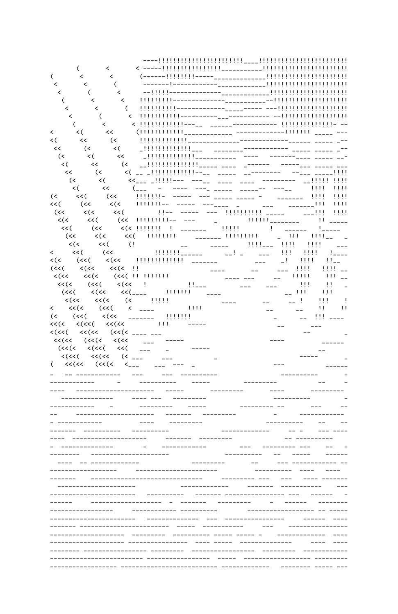$\frac{1}{2}$  $\overline{C}$  $\zeta$  $\overline{(\checkmark)}$  $\langle$  $<<$  $\mathcal{C}$  $\prec$  (  $<<$  $\begin{tabular}{c|c|c|c|c} $\left( \text{C}_{1,1}, \text{C}_{2,1}, \text{C}_{3,1}, \text{C}_{4,2}, \text{C}_{5,3}, \text{C}_{6,4,3}, \text{C}_{7,4,4}, \text{C}_{8,5,4}, \text{C}_{9,6,6,6}, \text{C}_{1,7,1}, \text{C}_{1,7,1}, \text{C}_{1,7,1}, \text{C}_{1,7,1}, \text{C}_{1,7,1}, \text{C}_{1,7,1}, \text{C}_{1,7,1}, \text{C}_{1,7,1}, \text{C}_{1,7,1}, \text{C}_{1,7,1},$  $\langle$  $<<$  $\left($  $\lt$  $\left($  <  $\left($  <  $\lt$  (  $\lt$  (  $<<$  $\left(\ll\right)$  $(\leq$  $<<($  $<<$  (  $\left(\ll\right)$  $(\lt\lt$  $\lt$  ( $\lt$  $\lt$  (  $\lt$  $<<$  (  $(\lt\lt$ <<(  $\epsilon$  $\lt$  (  $\lt$  $<<$  (  $\lt$  (  $\lt$  $\overline{\phantom{a}}$  $<<$  (  $(\lt\lt$  $\lt$  (  $\lt$  $(\lt\lt)$  $\begin{split} \begin{minipage}{0.5\textwidth} \centering \begin{tabular}{|c|c|c|} \hline & & 0.011 \\ \hline 0.011 & 0.011 \\ \hline 0.011 & 0.011 \\ \hline \end{tabular} \end{split} \end{split}$  $-111 \sim 10^{11}$  and  $\sim 10^{11}$  $\langle \Pi \rangle$  .  $\overline{11}$  $-111 - 111$  $- - - - -$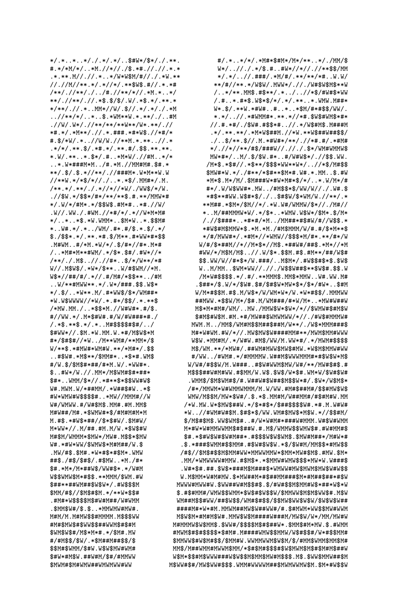$*/.*$ ..\*..\*/./.\*/.\*/..\$#W\*/\$\*/./.\*\*. #.\*/\*M/\*/..\*M.//\*//./\$.\*#.//.//.\*.\* .\*.\*\*. M//.//.\*..\*/W\*W\$M/#//./.\*W.\*\* //.//M//\*\*.\*/.\*//\*/.\*\*\$W\$.#//.\*.\*#  $/**/.//**//./.!/*./**/*//.*M.*..*/$  $**/.//**/.//. **$ \$.\$/\$/.W/.\*\$.\*/.\*\*.\*  $*$ /\*\*/.//.\*.. $MM*//W/.$ \$//.\*/.\*/./.\*M  $\ldots$ //\*\*/\*/..\*..\$.\*WM\*\*W.\*.\*\*/./..#M  $. //W/.W*/. // **/**/**W**/W*. **/. //$ \*#.\*/.\*M\*\*/.//.\*.###.\*#\*W\$.//\*#/\* #.\$/\*W/.\*..//W/W.//\*\*M.\*.\*\*..//.\*  $.*/*/.***.**.$  \$ / . \* # . \* / . \* \* . # / . \$\$ . \* \* . \* \* .  $*$ .W/.\*\*..\*.\$\*/.#..\*M\*W/.//#M..\*/\* ..\*. W\*###M\*M../#.\*M.//MM#M#.\$#.\* \*\*/.\$/.\$.\*//\*\*/.//###M\*.W\*M\*\*W.W  $1/***$ W.\*/\*\$/\*//./..\*.\*\$/.MM#\*/.M.  $/**.*/*.***/./.*//*//*W/./WW$/*/W.$ .//\$W.\*/\$\$\*/#\*/\*\*/\*\*\$.#.\*\*/MMW\*# \*/.W/\*/#M\*.\*/\$\$W\$.#M\*#..\*#.//W/ .W//.WW./.#WM.//\*#/\*/.\*//W\*M\*M# \*/..\*..\*\$.\*W.WMM\*..\$M\*W..\*.\$\$M#  $*$ .. $W#.*/.*$ ../WM/.#\*.#/\$.\*.\$/.\*/  $$./$$$ \*.\*/.\*\*.\*#.\$/M\*\*.#\*WW\*#\*\$\$ . M#WM. . #/\*M. \*W/\*/. \$/#\*//#\*. M\*# /..\*M#\*M\*\*#WM/.\*/\$\*.\$#/.#W\*//\*  $/**/'./.$  M\$..//.//#\*..\$/\*/W\*\*/\*# W//.M\$W\$/.\*W\*/\$\*\*..W/#\$WM//\*M. W\$\*//##/#/.\*//.#/M#/\*\$\$\*\*../#M ..W/\*\*#MWW\*\*.\*/.W\*/###.\$\$.W\$\* \*/.\$/..\*W\*\*.M/.#\*WW\$/\$\*/WM##\* \*W.W\$WWWW//\*W/.\*.#\*/\$\$/.\*.\*\*\$ /\*MW.MM./..\*\$\$\*M.//W#W#\*.#/\$. #//WW.\*/.M\*\$#W#.#/W/#W###\*#./  $/$ .\*\$.\*\*\$.\*/.\*..M#\$\$\$\$#\$#/../ \$#WW\*//.\$M.\*W.MM.W.\*#/M\$W\$\*M #\*/\$#\$#//\*W../M\*\*WM#/\*\*MM\*/\$ W/\*\*\$.\*#MW#\*WM#W.\*\*/\*M#\*/.\$\$ ..#\$W#.\*M\$\*\*/\$MM#\*..\*\$\*#.WM\$ #/W.\$/\$M\$#\*##/#\*M.W/.\*WW#\*. \$..#W\*/W.//.MM\*/M\$WM#\$#\*##\* \$#\*..WMM/\$\*//.\*#\*\*\$\*\$\$WW#W\$ W#.MWM.W/\*##MM/.\*W##\$#W..\*\$ #W\*WMW#W\$\$\$\$#..\*MW//MMM#//W W#/WMWW.#/W#\$M\$.MM#.#M.MM\$ M#W##/M# \*\$WMW#\*\$/#M#M#M\*M M.#\$.\*#W\$\*##//\$\*\$#W/.\$M#W/  $M*WW*//$ . $M/$ ##.#M. $M/W.*$ \$W\$#W M#\$M/WMMM\*\$MW\*/MW#.M\$\$\*\$MW W#.\*#W\*WW/\$WMW\$\*M#M##/W.\$ . MW/#\$.\$M#.\*W\*#\$\*#\$M\*.WMW ##\$./#\$/\$#\$/.#\$MW..\*M./#\* \$#.\*M\*/M\*##W\$/WW#\$\*.\*/W#M W\$\$WMW\$M\*#\$\$.\*\*MMM/\$WM.#W \$##\*\*##WM##\$W\$W\*/.#W\$\$\$M \$MM/#\$//\$M\$#\$M.\*/\*\*W\*\$\$# MW#\*W\$\$\$\$M\$#W#M##/W#WM  $.$ \$MM\$W#/\$.\$..\*MMWMW#MW#. M#M/M M#MW\$\$#MMMM M\$\$\$WW #M#\$MW\$#\$WW\$\$##WWM\$#\$#M \$WM\$W\$#/M\$\*M\*#.\*/\$M#.MW #/#M\$\$/\$W/.\*\$M##M##\$\$/\$ \$\$M#\$WMM/\$#W.W\$W\$MW#WM#  $$$ #W\*#M\$W.##W#M/\$#/#MMWW **SWAMMACHTMAGHAMMAGHAM** 

#/.\*..\*/\*/.\*M#\*\$#M\*/M\*/\*\*..\*/./MM/\$  $W*/$ ..//./.\*/\$.#..#W\*//\*//.//\*\*\$\$/MM \*/.\*/..//.###/.\*M/#/.\*\*/\*\*/\*#..W.W/ \*\*/#//\*\*.\*/W\$W/.MWW\*/.//./W#\$W\$M\$\*\*W /..\*/\*\*.MM\$.#\$\*\*/.\*../..//\*\$/#W#\$\*WW /.#..\*.#\*\$.W\$\*\$/\*/.\*/.\*\*..\*.WMW.M##\*  $W*$ .\$/.\*\* $W$ .\*# $W#$ ..#..\*..\*\$M/#\*#\$\$/ $W$ , \*.\*/..//.\*#WMM#\*.\*\*.\*//\*#.\$W\$#WM\$\*#\* //.#.\*#/./\$W#.#\$\$\*#..//.\*/W\$#M\$.M###M .\*/.\*\*.\*\*/.\*M\*W\$##M.//\*W.\*\*W\$##W##\$\$/  $. / . .$ \$/\*\*.\$//.M.\*#W#\*/\*\*/.//\*#.#/.\*#M# \*/.//\*//\*\*/#\$/###W//.//./.\$\*/WM#WMMW\$ MW\*#\*/..M/.\$/\$W.#\*..#/W#W\$\*/.//\$\$.WW. /M\*\$.\*\$#//.\*\$\*\*/\$\$\$\*WW\*\*W\*/..//\*\$/M#\$\$ \$MW#\*W.\*/./#\*\*/\*\$#\*\*\$M\*#.W#.\*.MM..\$.#W \*M\*\$.M\*/M/.\$M###W\*#W\*M#\*\$/\*/..\*.W/M\*/# #\*/.W/W\$WW#\*.MW../#M\$\$\*\$/WW/W//./.W#.\$ \*#\$\*\*#WW.W\$#\*\$/./..\$#\$W/\$\*WM/W.//\*\*/.\* \*\*M##.\*\$M\*/\$M//\*/.\*W.W#/WMMW/\$\*//./M#// \*..M/##MMMW\*W/.\*/\$\*..\*WMW.W\$W\*/\$M\*.\$/M\* /.//\$###\*..\*#\*#/\*M../MM##\*#\$#W/#//W\$\$.\* \*#W\$#M\$MMW\*\$.\*M.\*M./#M\$MMM/W/#.#/\$\*M\*\*\$ \*/#/MWW#\*/.\*#M\*//\*WMW//\$\$\$\*M/#\*.\*\*/#\*/W W/#/\$\*##M//\*//M\*\$\*//M\$.\*##W#/##\$.\*M\*//\*M #WW/\*/M\$M/M\$..//.W/\$\*.\$\$M.#\$.#M\*\*/##/W\$#  $$8.WW/W//$ #\*\$\*/W.###/..M\$M\*/.#W\$\$#\$\*\$.\$W\$ W..M/MM..\$WM\*WW//.//./W\$\$W##\$\*\*\$W\$#.\$\$.W /M\*W#\$\$\$\$.\*/.#/.\*\*MMM\$.MM\$\*MMW..W#.WW.M# .\$##\*/\$.W/\*/\$W#.\$#/\$#\$W\*MW\*\$\*/\$\*/#W\*..\$#M W/M\*#\$\$M.#\$.M/W\$\*/W/WM\*W\*/W.\*W\*#\$\$/.MMMWW ##MWW.\*\$\$W/M\*/\$#.M/WM###/#\*W/M\*..\*MW#W##W M\$\*M\*#M#/WM/..MW./MMW\$W\*\$W\*/\*//\$WMW#\$#M\$W \$#M\$#W\$M.#M.\*#/MW##\$WMWMWW/\*//./#W\$#MMMW# MWM.M../MM\$/WM#M\$\$M##\$##M/W\*\*/./W\$\*MMM###\$ M#\*W#WM.#W/\*//.MW\$MW\$W####MM#\*\*/MWM\$MM#WWW W\$W.\*MM#M/.\*/W#W.#M\$/WW/M.WW\*#/.\*/MWM#\$\$\$\$ M\$/WM.\*\*/\*MW#/.##WM#MWW\$MW\$#MW.\*W\$M\$MMW#WW #/WW../#WM#.\*/#MMMMW.W##M\$WWWMMM#\*#\$W\$W\*M\$ W/W#/#\$\$W/M.W###..#\$W#WWM\$MW/W#/\*\*/MW#\$#\$.# M\$\$\$##W#M#WW.#\$MM/W.W\$.\$W\$/W\*\$#.WM\*W/\$W#\$W# .WMM\$/\$M\$WM#\$/#.W##W#\$W##\$M\$\$W\*#/.\$W\*/W\$M\$\* /#\*/MMWM\*W#WMMWMMM/M.W/WW.#M#\$##M#/\$\$#MW\$W\$ WMW/M\$\$M/MW\*\$W#/.\$.\*\$.MM#M/W##MM#/#\$#M#W.MM /\*W.MW.W\*\$MW\$##W.\*/\$\*#\$\*/\$##\$\$\$\$W#.\*#.M.W#W# \*W..//#WM#W#\$M.\$#\$\*\$/WW.WM#\$MW\$\*M\$W.\*//\$\$#M/ \$/M\$#\$M\$.WW\$WM\$#..#/W\*W#M#\*###W#MMM.W#\$W#WMM M\*#W\*W#MMWWMM\$#\$##W.#.M\$/WMMW\$\$WMW\$#.#W#MM#\$  $$#.*$$ #W\$W#\$W#M##\*.#\$\$\$W\$W\$WM\$.\$MW#M##\*/M#W\*# .\$.\*###\$WMM#\$\$MM#.#\$W#\$W\$W.\*\$/\$W#M/MM\$\$\*#MW\$\$ /#\$//\$M\$#\$\$M\$MM#WW\*MMWWMMW\*\$MM\*MW#\$M\$.#MW.\$M\*  $MM/*$ WMWWW#MMW.#\$M\$\*.\*\$MMW#WMW\$\$\$\*MW\*W.W###\$ . W#\*\$#.##.\$W\$\*###M\$M###\$\*WMWW#MW\$MWM\$MW\$W#W\$\$ W.M\$MM\*W#M#MW.\$\*MW##M\*#\$##MM###\$M\*#M##\$##\*#\$W MWW#MWW#W.\$WW##W#M\$\$#\$.\$/#W#\$\$M\$MM#W\$\*##\*W\$\*W \$.#\$#MM#/WMW\$\$WMM\*\$W\$#\$W\$\$W/\$MMWW\$M\$M\$WW\$#.M\$W WM##M\$\$#WW/##\$W\$\$/WM#\$#\$\$/\$\$MW\$WW\$W\$W/\$W\$W\$W## ####M#\*W\*#M.MMWM##MW\$W##WW#/#.\$#MWM\*WW\$\$MW#WWM M\$W\$M\*#M#M\$W#.MMW\$W\$M####W###M/MW\$W/W\*/MM/MW#W M#MMMW\$W\$MM\$.\$WW#/\$\$\$\$M\$#\$##W\*.\$MM\$#M\*MW.\$.#WMM #MWM\$#\$#\$\$\$\$\*\$#M#.M####WMW\$\$MMW/W\$#\$\$#/W\*#\$\$MM# \$MMWW\$#W\$M#\$\$/\$MM#W.WWMMWWM\$W\$M/\$/#MM\$WMM\$MM\$M# MM\$/M##WMM#MWWM\$MM/\*\$#\$M#\$\$\$#\$W\$MWM\$M\$#\$M#M\$##W W\$M\*\$\$#M\$WWW###W\$W\$\$M\$MM\$MW#M\$\$\$.M\$.\$WW\$MMW##\$M M\$WW#\$#/MW\$WW#\$\$\$.WMM#WWWWM##\$MWMWWWW\$M.\$M\*#W\$\$W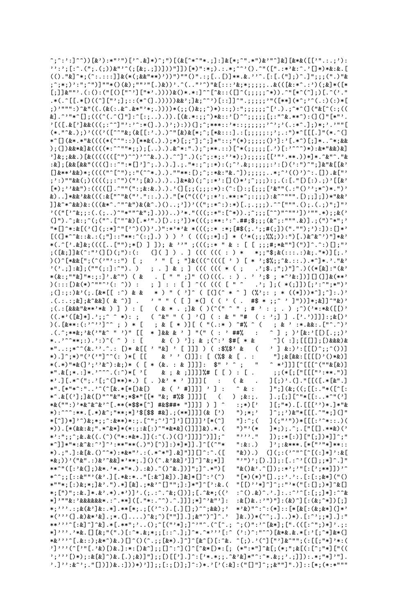|                                                      |  |                                                 |       |  |                               |  |           |                              |                     |  |  | ^;^:':]^^))[&'):*"'")['^.&]*)^;")[(&[^*^"*.;]:]&[*;^".*")&'"^]&][&*&([['".:.;'):                                                                                                                                               |
|------------------------------------------------------|--|-------------------------------------------------|-------|--|-------------------------------|--|-----------|------------------------------|---------------------|--|--|--------------------------------------------------------------------------------------------------------------------------------------------------------------------------------------------------------------------------------|
|                                                      |  |                                                 |       |  |                               |  |           |                              |                     |  |  | '':';[:^.(";.(;))&"'^(;[&;.;])]))"]])[*)":*;).:.*;^^'().^"([".:*'&:^.'[]*)*&:&.[                                                                                                                                               |
|                                                      |  |                                                 |       |  |                               |  |           |                              |                     |  |  | (()."&]^*;(^:.:::]]&(*(;&&"**)'))")""()".:;[[)]**.&.''^.[:[.("];)^.]";;;(".)"&                                                                                                                                                 |
|                                                      |  |                                                 |       |  |                               |  |           |                              |                     |  |  |                                                                                                                                                                                                                                |
|                                                      |  |                                                 |       |  |                               |  |           |                              |                     |  |  | ;^;*;)':";^")]""*()(&);""'"[.)&))'.^("'^)"&[:::'&;*;;;;;&(([&:*^.:')(;&]*([*                                                                                                                                                   |
|                                                      |  |                                                 |       |  |                               |  |           |                              |                     |  |  | [;]]&""' (:():("[()["^']["*'.))))&()*.*:]^^[^&::([]^(;;;;;^*)).^"[*^(^];)[.^('."                                                                                                                                               |
|                                                      |  |                                                 |       |  |                               |  |           |                              |                     |  |  |                                                                                                                                                                                                                                |
|                                                      |  |                                                 |       |  |                               |  |           |                              |                     |  |  | .*(.^[[.*[)((^]["';];::(*^(].)))))&&';]&;^^')[::]]^".;;;;;'"([**](*^;'^(.:)(:)*[                                                                                                                                               |
|                                                      |  |                                                 |       |  |                               |  |           |                              |                     |  |  | ;)'""":)^&"((.(&(:.&^.&*"'*;.))))*(;;()&;;^)*)::;):";;;;;;^['.).;^*^(]("&[^(:;((                                                                                                                                               |
|                                                      |  |                                                 |       |  |                               |  |           |                              |                     |  |  |                                                                                                                                                                                                                                |
|                                                      |  |                                                 |       |  |                               |  |           |                              |                     |  |  | . ^ '"*^[] ; (((^(.^(] "] : ^[: ; ) . ) ) . [(&.*: ; ; ^)*&: : ' [) ^^; ; ; ; ; [; : "^&.**^) : (](] "[*" '                                                                                                                    |
|                                                      |  |                                                 |       |  |                               |  |           |                              |                     |  |  | )[([.&[']&&(((;:^^]"':'^:*(].).)';);))]];^;***::'*::;;;;;;'^';'(.:*^.];)*;'.'""[                                                                                                                                               |
|                                                      |  |                                                 |       |  |                               |  |           |                              |                     |  |  |                                                                                                                                                                                                                                |
|                                                      |  |                                                 |       |  |                               |  |           |                              |                     |  |  | (*."^&.);)'((('(^^"&;(&[[:'.).)^"[&)&[*;^;[*&:::].:[;;;;;;;';.:")*^[[[.]"(*.^(]                                                                                                                                                |
|                                                      |  |                                                 |       |  |                               |  |           |                              |                     |  |  | *^[](&*.*"&((((*(^^"::)[**&(.).);*)[;;^];^;]*"::;"(*);;;;;()']:'[.*^)[;]*^*;&&                                                                                                                                                 |
|                                                      |  |                                                 |       |  |                               |  |           |                              |                     |  |  |                                                                                                                                                                                                                                |
|                                                      |  |                                                 |       |  |                               |  |           |                              |                     |  |  | );(])&&*&]&((((*:^^""*;;);[).).&^*:".);^;**.::)[^*(;;;;;[.')[:'^^^)*):&*"&&)&]                                                                                                                                                 |
|                                                      |  |                                                 |       |  |                               |  |           |                              |                     |  |  | ']&;;&&.)[&(((((([^")^^)'^^&.).).^^]^.)(;^;:*;:''*););;;;;[['"'.**.))*]*.^&"^."&                                                                                                                                               |
|                                                      |  |                                                 |       |  |                               |  |           |                              |                     |  |  |                                                                                                                                                                                                                                |
|                                                      |  |                                                 |       |  |                               |  |           |                              |                     |  |  | :&];[&&[&&"((((]::^":*[]']^;.).).].;."*:;^;:*):(;^'.&;:;;;;:':[)(':")^";]&"&[[&'                                                                                                                                               |
|                                                      |  |                                                 |       |  |                               |  |           |                              |                     |  |  | $[] \& **{'kk})*; (((("`[`");: "(``*, .).). " "***:[]); `;; **&: "&.`])";;;;;*;`'(()')`:.[]).&[]"$                                                                                                                             |
|                                                      |  |                                                 |       |  |                               |  |           |                              |                     |  |  |                                                                                                                                                                                                                                |
|                                                      |  |                                                 |       |  |                               |  |           |                              |                     |  |  | ;':)""&&(;)((((;;:^")("';[&).).)]&*&)(;^;:*':[]()*';^;;;):;.(:[."[)[:).;)'[[&'                                                                                                                                                 |
|                                                      |  |                                                 |       |  |                               |  |           |                              |                     |  |  | $[*);''&\&\text{\texttt{""}}(((([] .\texttt{""}(":}; \&: \& \ldots) .) .)'[][:,(:,;;;*) : (^* : [);;[:,;]'\&\text{\texttt{""}}(. : \text{\texttt{""}}(. : \text{\texttt{""}}(.)''; *^*) * \ldots)$                             |
|                                                      |  |                                                 |       |  |                               |  |           |                              |                     |  |  |                                                                                                                                                                                                                                |
|                                                      |  |                                                 |       |  |                               |  |           |                              |                     |  |  | &)]*&&'&&(((:&["^"&("'."::.).)."[*("(((';:*':.**:*^;:;;):&^^""".[);;];])*"&&'                                                                                                                                                  |
|                                                      |  |                                                 |       |  |                               |  |           |                              |                     |  |  | ]]&^*^&&)&:(((&*^.^"^&")&(&^.)();'])'((";:*^:):*)[.;.;;;).^^[""".();.(.;)";]"'                                                                                                                                                 |
|                                                      |  |                                                 |       |  |                               |  |           |                              |                     |  |  | '(("['^&;;:(.(;)^"*""^&";].))))'*."(((;:*":[^*)).;^;;;[^^)"^"""])'"".*);;&('                                                                                                                                                   |
|                                                      |  |                                                 |       |  |                               |  |           |                              |                     |  |  |                                                                                                                                                                                                                                |
|                                                      |  |                                                 |       |  |                               |  |           |                              |                     |  |  | (]").^;&:;^(;("^.[^"^&)[.*'".)[).:;'])*(((;:**:':^.##;\$;;;(&^;:""".&)].;(")^*";'                                                                                                                                              |
|                                                      |  |                                                 |       |  |                               |  |           |                              |                     |  |  | "*[]^*:&[('(](;:*]^"['^)())'.)":*'*'& *(((;:* :*;[#\$(;.';;#(;])("."");'):]):[]*'                                                                                                                                              |
|                                                      |  |                                                 |       |  |                               |  |           |                              |                     |  |  |                                                                                                                                                                                                                                |
|                                                      |  |                                                 |       |  |                               |  |           |                              |                     |  |  | [((]*^^&::&.:(;"]::"**:^(:;].) ))′ ( (((;:*]:] * ('*(;;;%%;)):")[.)&^&^')"]*&'                                                                                                                                                 |
|                                                      |  |                                                 |       |  |                               |  |           |                              |                     |  |  | *(.^['.&]&;((([["");*[) ] ]); & ''" ;(((;:* " & : [ [ ;;;#;*&""](")]^.^:)[];"'                                                                                                                                                 |
|                                                      |  |                                                 |       |  |                               |  |           |                              |                     |  |  |                                                                                                                                                                                                                                |
| $; ([&;]]&(^{\circ}: "\prime( ] [)(;");([\cdot$      |  |                                                 |       |  |                               |  |           |                              |                     |  |  | $( ] ( ] )$ . $ ] ( ( ( ( ( ( : ) * * ; ; "\$ ; \& ( : : : : : )_{\&}, "*) ] [ ; . '$                                                                                                                                          |
| )()^[*&&[";(^('"'::") [;                             |  |                                                 |       |  |                               |  |           |                              |                     |  |  | , " [ ; "]&(((^((([ ' ) [ * ';\$%;;^&.::.).*^]*.'."&'                                                                                                                                                                          |
|                                                      |  |                                                 |       |  |                               |  |           |                              |                     |  |  |                                                                                                                                                                                                                                |
|                                                      |  |                                                 |       |  |                               |  |           |                              |                     |  |  | ;.] & ; ] ((( ((( * ( ;  . ' ;\$. ; " ; ) "] ^ . ) ((* [&] : " (& '                                                                                                                                                            |
| *(&:;""&]"*:;:]'.&^") ( &                            |  |                                                 |       |  |                               |  |           |                              |                     |  |  | $[ " " ; ]" (()((( . : ) . ' );$ ; * ''&:])][](]]&(**'                                                                                                                                                                         |
| $((::![\&(*)^{\sim\mathsf{num}})(: \hat{~}))$ :      |  |                                                 |       |  |                               |  |           |                              |                     |  |  | ; ] : : [ ] ^(( ((( [ " ^ _ .'; ];( *(;]])[;':^";*")'                                                                                                                                                                          |
|                                                      |  |                                                 |       |  |                               |  |           |                              |                     |  |  |                                                                                                                                                                                                                                |
| ;(]:;:)&'(;.[&*[[ :^) & &                            |  |                                                 |       |  |                               |  |           |                              |                     |  |  |                                                                                                                                                                                                                                |
| .(.:.:;&];&^&&]( & ^)].                              |  |                                                 |       |  |                               |  |           |                              |                     |  |  | * ) " ( '']^ ( [(](^ * ^ ] (%';: ; * ((*)))*];^]:.)'<br>' " " ( [ ] *(] ( ( ( ' ( . #\$ * ;;^ ' ]"))]*;&]]^"&)'<br>' " ( [ ] *(] ( ( ' ( . #\$ * ;;^ ' ]"))]*;&]]^"&)'                                                         |
| ;(.:[&&&"&**'*& ) ] ) : [                            |  |                                                 |       |  |                               |  |           |                              |                     |  |  |                                                                                                                                                                                                                                |
|                                                      |  |                                                 |       |  |                               |  |           |                              |                     |  |  |                                                                                                                                                                                                                                |
|                                                      |  | $((.*)^{\{[k]\}*]}.^{\prime};;^{\frown}\$ *): ; |       |  |                               |  |           |                              |                     |  |  | ( ^&" " ( ] '(] ( : & " "# ( : ';] ] .['.')]]]:;&[)'                                                                                                                                                                           |
|                                                      |  |                                                 |       |  |                               |  |           |                              |                     |  |  |                                                                                                                                                                                                                                |
|                                                      |  |                                                 |       |  |                               |  |           |                              |                     |  |  |                                                                                                                                                                                                                                |
| )(.[ $\& * : ( : \cdots ) : \cdots$ ;                |  |                                                 | ) * [ |  | ; & [ * )][ ( "(.:* ) ^#% ^ ( |  |           |                              |                     |  |  | ; & ' :*.&&:.["^.^)'                                                                                                                                                                                                           |
| .(.^;**&;'&('"&^ " ')" [[                            |  |                                                 |       |  |                               |  |           | * ]&& & ' ] "(" ( : ' ##%    |                     |  |  | $\left[ \begin{array}{c} 1 \\ 2 \\ 3 \end{array} \right]$ ; ) ' [&: ' [ [ ) [.;; ; ) '                                                                                                                                         |
|                                                      |  |                                                 |       |  |                               |  |           |                              |                     |  |  |                                                                                                                                                                                                                                |
| *'^^***;:).':)^( ^ ) : [                             |  |                                                 |       |  |                               |  |           | & ( ) ']; & ; (^:' \$#[ * &  |                     |  |  | $^{\circ}$ ] ( :]; [[[]]; [)&&&)&                                                                                                                                                                                              |
| *":;*^^(&.''.^.: [)* &[[ ' "&] ' [ ]]] ) ( :\$%\$' & |  |                                                 |       |  |                               |  |           |                              |                     |  |  | ' ] &:)':[[[)^;;^())]                                                                                                                                                                                                          |
|                                                      |  |                                                 |       |  |                               |  |           | $k$ ' ' (]]]: [ (%\$ & [ . : |                     |  |  | "]; $& [&x : [[[[])'() * x)]$                                                                                                                                                                                                  |
|                                                      |  |                                                 |       |  |                               |  |           |                              |                     |  |  |                                                                                                                                                                                                                                |
| $*(.*)$ "*&(]';''&^):&;)* ( [ * (&. : & ]]]]:        |  |                                                 |       |  |                               |  |           | $\mathbf{\$^n$ , $\hat{}$ ;  |                     |  |  | ^ *']]][^[[[^(""&[&)]                                                                                                                                                                                                          |
| *".&[;*.:]*.'^^^.(:^)*[ '[                           |  |                                                 |       |  |                               |  |           |                              |                     |  |  | ;;(*[;["[[["':**.")]                                                                                                                                                                                                           |
|                                                      |  |                                                 |       |  |                               |  |           | & ; & ;]]]]%# [ [ ) : [ .    |                     |  |  |                                                                                                                                                                                                                                |
| *'.][.*^(";.'[;^(]**)*.) [ .                         |  |                                                 |       |  | $\&$ ' * ' ]]][               |  | $\sim$ 1. |                              | ( &                 |  |  | $]$ [;)'.(]."[[([.*[&".]                                                                                                                                                                                                       |
| *".[*"*^:"'^(^[&.*[*[)&[)                            |  |                                                 |       |  | $& ( ' # ] ] ]$ $' ]$ :       |  |           |                              | <b>&amp; :</b>      |  |  | $]$ "; $]$ (&;((;[[:."*([^[:                                                                                                                                                                                                   |
|                                                      |  |                                                 |       |  |                               |  |           |                              |                     |  |  |                                                                                                                                                                                                                                |
| *^.&[('];]&([)"^"&"*;*\$*"[[* "&; #%\$ ]]]][         |  |                                                 |       |  |                               |  |           |                              | );&:;.              |  |  | $], [.] [^* \times [[] : . *^* "(')]$                                                                                                                                                                                          |
| *&("":)'*&^&^&'^[.**(*\$\$*[^] #&\$##* "]]]] ) ] ^   |  |                                                 |       |  |                               |  |           |                              | :;*)['              |  |  | $]$ [;"*).[.[[['')*.]*"&                                                                                                                                                                                                       |
| *):^^^:**.[.*)&^;"**;*]'\$[\$\$_#&].;(**]]]](& [')   |  |                                                 |       |  |                               |  |           |                              | $")$ ; * ; '        |  |  |                                                                                                                                                                                                                                |
|                                                      |  |                                                 |       |  |                               |  |           |                              |                     |  |  | $]$ ;;')&"*[[[.^"*;](]"                                                                                                                                                                                                        |
| *[^])*]'^)&;*;;^:&**)*:;.[^";^']^]'][]]]]'[*(^]      |  |                                                 |       |  |                               |  |           |                              | "]:^;(              |  |  | $]($ ;"'"))*[[[:'^*::.)(                                                                                                                                                                                                       |
|                                                      |  |                                                 |       |  |                               |  |           |                              | ")"'(*              |  |  | ]*;);.^;.["[[].**&)('                                                                                                                                                                                                          |
| *)).[*(&&:&;".*^&*]*(*:;:&[:)^"*&*&](]]]]&).*.(      |  |                                                 |       |  |                               |  |           |                              |                     |  |  |                                                                                                                                                                                                                                |
| *':";;^;&.&((.(^)("*:*&*.]](:^(.)((]']]]]^)]];       |  |                                                 |       |  |                               |  |           |                              | ",,, <sub>,</sub> " |  |  | $]$ );:*[:)]["[;])*]]^;"                                                                                                                                                                                                       |
| *^]]*"*:&^&:^']^':**"**(.)")[^)]:)*]*]].]^[(^"*      |  |                                                 |       |  |                               |  |           |                              | $":\&:\.)$          |  |  | ]';:&***.[*["'"*]**::                                                                                                                                                                                                          |
|                                                      |  |                                                 |       |  |                               |  |           |                              |                     |  |  |                                                                                                                                                                                                                                |
| *).;".]:&[&.()^^*):*&*"'.:(.*^*"].&]"]][]^:^.([      |  |                                                 |       |  |                               |  |           |                              | $"\&))$ .)          |  |  | $( ] (: C^{\sim n} [ [ [ ( : ] * ] \; ] \; ]$                                                                                                                                                                                  |
| *&;))'("&".:)&'^&&]*'**;.]()(^.&'&&]']]^]^&;*]]      |  |                                                 |       |  |                               |  |           |                              |                     |  |  | "'")';[).]];:[.:^'[([];;*]^.]"                                                                                                                                                                                                 |
|                                                      |  |                                                 |       |  |                               |  |           |                              |                     |  |  |                                                                                                                                                                                                                                |
| **^"([:'&(];)&*.'*.*"*.).:&).^()^&.])]";]^.*")[      |  |                                                 |       |  |                               |  |           |                              |                     |  |  |                                                                                                                                                                                                                                |
| *^^;;[::&""'(&'.][.*&:*"[:&^]&]).]&]*[]^:'(^)        |  |                                                 |       |  |                               |  |           |                              |                     |  |  | " [*) (*) " [] . ; : ' . ' : . [ : [ : ; &*] (" ( )                                                                                                                                                                            |
| *""*;[:)&;*;]&'.").*][&].;*&'^[]"";]:]*"]^[':&.(     |  |                                                 |       |  |                               |  |           |                              |                     |  |  | "[[)''*]^]^;:"'*("[:[];)*]^&[]                                                                                                                                                                                                 |
|                                                      |  |                                                 |       |  |                               |  |           |                              |                     |  |  |                                                                                                                                                                                                                                |
| *;[")";:&.]*.&'.*).*')]'.(;.:^.^&;(])];[.^&*;(('     |  |                                                 |       |  |                               |  |           |                              |                     |  |  | :^().&)^.'.]:.:^'^[:[;;]*]:^^&                                                                                                                                                                                                 |
| *]'""&:'&&&&&&*.:^.**]([."*:.^^).^.]]];*]^'&"']:     |  |                                                 |       |  |                               |  |           |                              |                     |  |  | $:\&[]\&.:']']:(\&)^\frown]$ $[:(\&;^\frown*)]$ $[:]$                                                                                                                                                                          |
|                                                      |  |                                                 |       |  |                               |  |           |                              |                     |  |  |                                                                                                                                                                                                                                |
| *;'''.:;&(&']&:.*].**[*;.;[('^:).[.][];)^^;&&);'     |  |                                                 |       |  |                               |  |           |                              |                     |  |  | *'&)"^:^:(*]::[*[&[:(&;&*](]*'                                                                                                                                                                                                 |
| *('''(].&)&*'&].;*.(])^&;^)[""]].];&"^)^]^.'         |  |                                                 |       |  |                               |  |           |                              |                     |  |  | ]&.))*(^^;.])*).[:^';;*].]:"                                                                                                                                                                                                   |
| **'''^[:&]^]^&].*[.**";'();^[("'*];]^'"^.(^[^.;      |  |                                                 |       |  |                               |  |           |                              |                     |  |  | ^;()":'^[&*];[".(([:^";)*]'.;:                                                                                                                                                                                                 |
|                                                      |  |                                                 |       |  |                               |  |           |                              |                     |  |  |                                                                                                                                                                                                                                |
| *]'''.'*&.[][&;"(".)[:^*.&;*;;[::^.];]^*.^*'''[:^    |  |                                                 |       |  |                               |  |           |                              |                     |  |  | $(':)$ $^{\circ}$ : " $^{\circ}$ ) [&*&.&.*[:'[; ^*]&*(]                                                                                                                                                                       |
| *&'''^[.&::);&*^)&.)[]^()(^.;;[&*).]^]^[&^[)[:^&.    |  |                                                 |       |  |                               |  |           |                              |                     |  |  | $\hat{C}$ [;).' $(\hat{C}$ ]["']&^""; $(:[[; "*]' * : ($                                                                                                                                                                       |
|                                                      |  |                                                 |       |  |                               |  |           |                              |                     |  |  |                                                                                                                                                                                                                                |
|                                                      |  |                                                 |       |  |                               |  |           |                              |                     |  |  | ))'''(^['','&[(:[^;'*]["((^[^{)}}}}^[)':^[^{^{)}}}^[\]^{^[^{}}}^{\]```\{[`{\}}^{\]^{\]^{\]^{\]^{\]^{                                                                                                                           |
|                                                      |  |                                                 |       |  |                               |  |           |                              |                     |  |  | """*:) :: [*: (. "["""*: {\displaystyle } : : [\] :: [:: [\] :: [:: [\] :: {\displaystyle } :: {\displaystyle } :: {\displaystyle } :: {\displaystyle }} :: {\displaystyle }} :: {\displaystyle }} :: {\displaystyle }} :: {\d |